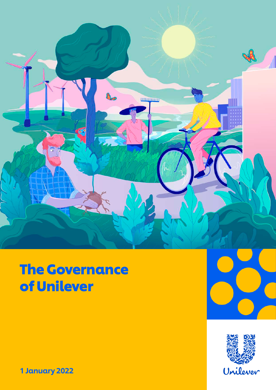

# The Governance of Unilever





1 January 2022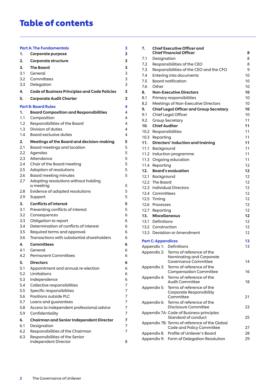# Table of contents

|     | Part A: The Fundamentals                               | З |
|-----|--------------------------------------------------------|---|
| 1.  | Corporate purpose                                      | 3 |
| 2.  | Corporate structure                                    | 3 |
| 3.  | <b>The Board</b>                                       | 3 |
| 3.1 | General                                                | 3 |
| 3.2 | Committees                                             | 3 |
| 3.3 | Delegation                                             | 3 |
| 4.  | Code of Business Principles and Code Policies          | 3 |
| 5.  | <b>Corporate Audit Charter</b>                         | 3 |
|     | <b>Part B: Board Rules</b>                             | 4 |
| 1.  | <b>Board Composition and Responsibilities</b>          | 4 |
| 1.1 | Composition                                            | 4 |
| 1.2 | Responsibilities of the Board                          | 4 |
| 1.3 | Division of duties                                     | 4 |
| 1.4 | <b>Board exclusive duties</b>                          | 4 |
| 2.  | Meetings of the Board and decision-making              | 5 |
| 2.1 | Board meetings and location                            | 5 |
| 2.2 | Agendas                                                | 5 |
| 2.3 | Attendance                                             | 5 |
| 2.4 | Chair of the Board meeting                             | 5 |
| 2.5 | Adoption of resolutions                                | 5 |
| 2.6 | <b>Board meeting minutes</b>                           | 5 |
| 2.7 | Adopting resolutions without holding<br>a meeting      | 5 |
| 2.8 | Evidence of adopted resolutions                        | 5 |
| 2.9 | Support                                                | 5 |
| 3.  | <b>Conflicts of interest</b>                           | 5 |
| 3.1 | Preventing conflicts of interest                       | 5 |
| 3.2 | Consequences                                           | 6 |
| 3.3 | Obligation to report                                   | 6 |
| 3.4 | Determination of conflicts of interest                 | 6 |
| 3.5 | Required terms and approval                            | 6 |
| 3.6 | Transactions with substantial shareholders             | 6 |
| 4.  | <b>Committees</b>                                      | 6 |
| 4.1 | General                                                | 6 |
| 4.2 | <b>Permanent Committees</b>                            | 6 |
| 5.  | <b>Directors</b>                                       | 6 |
| 5.1 | Appointment and annual re-election                     | 6 |
| 5.2 | Limitations                                            | 6 |
| 5.3 |                                                        | 6 |
| 5.4 | Independence<br>Collective responsibilities            | 7 |
| 5.5 | Specific responsibilities                              | 7 |
| 5.6 | Positions outside PLC                                  | 7 |
| 5.7 |                                                        | 7 |
|     | Loans and guarantees                                   |   |
| 5.8 | Access to independent professional advice              | 7 |
| 5.9 | Confidentiality                                        | 7 |
| 6.  | <b>Chairman and Senior Independent Director</b>        | 7 |
| 6.1 | Designation                                            | 7 |
| 6.2 | Responsibilities of the Chairman                       | 7 |
| 6.3 | Responsibilities of the Senior<br>Independent Director | 8 |
|     |                                                        |   |

| 7.   |                           | <b>Chief Executive Officer and</b><br><b>Chief Financial Officer</b> | 8               |
|------|---------------------------|----------------------------------------------------------------------|-----------------|
| 7.1  | Designation               |                                                                      | 8               |
| 7.2  |                           | Responsibilities of the CEO                                          | 8               |
| 7.3  |                           | Responsibilities of the CEO and the CFO                              | 9               |
| 7.4  |                           | Entering into documents                                              | 10              |
| 7.5  |                           | <b>Board notification</b>                                            | 10              |
| 7.6  | Other                     |                                                                      | 10              |
| 8.   |                           | <b>Non-Executive Directors</b>                                       | 10              |
| 8.1  |                           | Primary responsibilities                                             | 10              |
| 8.2  |                           | Meetings of Non-Executive Directors                                  | 10              |
| 9.   |                           | <b>Chief Legal Officer and Group Secretary</b>                       | 10              |
| 9.1  |                           |                                                                      | 10              |
|      |                           | Chief Legal Officer                                                  |                 |
| 9.2  |                           | <b>Group Secretary</b>                                               | 11              |
| 10.  | <b>Chief Auditor</b>      |                                                                      | 11              |
|      |                           | 10.2 Responsibilities                                                | 11              |
|      | 10.3 Reporting            |                                                                      | 11              |
| 11.  |                           | Directors' induction and training                                    | 11              |
| 11.1 | Background                |                                                                      | 11              |
|      |                           | 11.2 Induction programme                                             | 11              |
|      |                           | 11.3 Ongoing education                                               | 11              |
| 11.4 | Reporting                 |                                                                      | 12              |
| 12.  |                           | <b>Board's evaluation</b>                                            | 12 <sub>2</sub> |
|      | 12.1 Background           |                                                                      | 12              |
|      | 12.2 The Board            |                                                                      | 12              |
|      |                           | 12.3 Individual Directors                                            | 12              |
|      | 12.4 Committees           |                                                                      | 12              |
|      | 12.5 Timing               |                                                                      | 12              |
|      | 12.6 Processes            |                                                                      | 12              |
|      | 12.7 Reporting            |                                                                      | 12              |
|      | 13. Miscellaneous         |                                                                      | 12              |
|      | 13.1 Definitions          |                                                                      | 12              |
|      | 13.2 Construction         |                                                                      | 12              |
|      |                           | 13.3 Deviation or Amendment                                          | 12              |
|      | <b>Part C: Appendices</b> |                                                                      | 13              |
|      |                           | Appendix 1: Definitions                                              | 13              |
|      |                           | Appendix 2: Terms of reference of the                                |                 |
|      |                           | Nominating and Corporate                                             |                 |
|      |                           | <b>Governance Committee</b>                                          | 14              |
|      | Appendix 3:               | Terms of reference of the                                            |                 |
|      |                           | <b>Compensation Committee</b>                                        | 16              |
|      | Appendix 4:               | Terms of reference of the                                            |                 |
|      |                           | <b>Audit Committee</b>                                               | 18              |
|      | Appendix 5:               | Terms of reference of the                                            |                 |
|      |                           | Corporate Responsibility<br>Committee                                | 21              |
|      |                           | Terms of reference of the                                            |                 |
|      | Appendix 6:               | Disclosure Committee                                                 | 23              |
|      |                           | Appendix 7A: Code of Business principles                             |                 |
|      |                           | Standard of conduct                                                  | 25              |
|      |                           | Appendix 7B: Terms of reference of the Global                        |                 |
|      |                           | Code and Policy Committee                                            | 27              |
|      |                           | Appendix 8: Profile of Unilever's Board                              | 28              |
|      |                           | Appendix 9: Form of Delegation Resolution                            | 29              |
|      |                           |                                                                      |                 |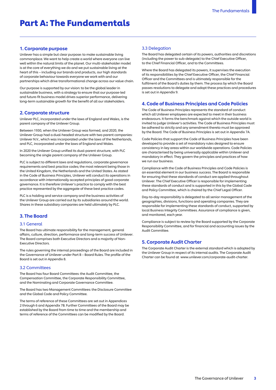#### 1. Corporate purpose

Unilever has a simple but clear purpose: to make sustainable living commonplace. We want to help create a world where everyone can live well within the natural limits of the planet. Our multi-stakeholder model is at the core of everything we do and we put sustainable living at the heart of this – including our brands and products, our high standards of corporate behaviour towards everyone we work with and our partnerships which drive transformational change across our value chain.

Our purpose is supported by our vision: to be the global leader in sustainable business, with a strategy to ensure that our purpose-led and future-fit business model drives superior performance, delivering long-term sustainable growth for the benefit of all our stakeholders.

#### 2. Corporate structure

Unilever PLC, incorporated under the laws of England and Wales, is the parent company of the Unilever Group.

Between 1930, when the Unilever Group was formed, and 2020, the Unilever Group had a dual-headed structure with two parent companies: Unilever N.V., which was incorporated under the laws of the Netherlands, and PLC, incorporated under the laws of England and Wales.

In 2020 the Unilever Group unified its dual-parent structure, with PLC becoming the single parent company of the Unilever Group.

PLC is subject to different laws and regulations, corporate governance requirements and best practice codes; the most relevant being those in the United Kingdom, the Netherlands and the United States. As stated in the Code of Business Principles, Unilever will conduct its operations in accordance with internationally accepted principles of good corporate governance. It is therefore Unilever's practice to comply with the best practice represented by the aggregate of these best practice codes.

PLC is a holding and service company and the business activities of the Unilever Group are carried out by its subsidiaries around the world. Shares in these subsidiary companies are held ultimately by PLC.

# 3. The Board

#### 3.1 General

The Board has ultimate responsibility for the management, general affairs, culture, direction, performance and long-term success of Unilever. The Board comprises both Executive Directors and a majority of Non-Executive Directors.

The rules governing the internal proceedings of the Board are included in the Governance of Unilever under Part B – Board Rules. The profile of the Board is set out in Appendix 8.

#### 3.2 Committees

The Board has four Board Committees: the Audit Committee, the Compensation Committee, the Corporate Responsibility Committee, and the Nominating and Corporate Governance Committee.

The Board has two Management Committees: the Disclosure Committee and the Global Code and Policy Committee.

The terms of reference of these Committees are set out in Appendices 2 through 6 and Appendix 7B. Further Committees of the Board may be established by the Board from time to time and the membership and terms of reference of the Committees can be modified by the Board.

# 3.3 Delegation

The Board has delegated certain of its powers, authorities and discretions (including the power to sub-delegate) to the Chief Executive Officer, to the Chief Financial Officer, and to the Committees.

Where the Board has delegated its powers, it supervises the execution of its responsibilities by the Chief Executive Officer, the Chief Financial Officer and the Committees and is ultimately responsible for the fulfilment of the Board's duties by them. The process by which the Board passes resolutions to delegate and adopt these practices and procedures is set out in Appendix 9.

#### 4. Code of Business Principles and Code Policies

The Code of Business Principles represents the standard of conduct which all Unilever employees are expected to meet in their business endeavours. It forms the benchmark against which the outside world is invited to judge Unilever's activities. The Code of Business Principles must be adhered to strictly and any amendment thereto must be approved by the Board. The Code of Business Principles is set out in Appendix 7A.

Code Policies that support the Code of Business Principles have been developed to provide a set of mandatory rules designed to ensure consistency in key areas within our worldwide operations. Code Policies are characterised by being universally applicable within Unilever and mandatory in effect. They govern the principles and practices of how we run our business.

Compliance with the Code of Business Principles and Code Policies is an essential element in our business success. The Board is responsible for ensuring that these standards of conduct are applied throughout Unilever. The Chief Executive Officer is responsible for implementing these standards of conduct and is supported in this by the Global Code and Policy Committee, which is chaired by the Chief Legal Officer.

Day-to-day responsibility is delegated to all senior management of the geographies, divisions, functions and operating companies. They are responsible for implementing these standards of conduct, supported by local Business Integrity Committees. Assurance of compliance is given, and monitored, each year.

Compliance is subject to review by the Board supported by the Corporate Responsibility Committee, and for financial and accounting issues by the Audit Committee.

#### 5. Corporate Audit Charter

The Corporate Audit Charter is the external standard which is adopted by the Unilever Group in respect of its internal audits. The Corporate Audit Charter can be found at [www.unilever.com/corporate-audit-charter.](www.unilever.com/corporate-audit-charter)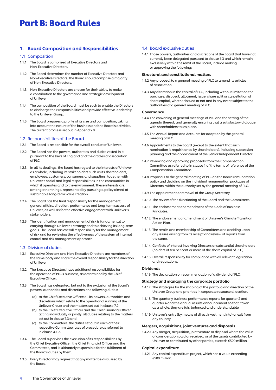# Part B: Board Rules

# 1. Board Composition and Responsibilities

#### 1.1 Composition

- 1.1.1 The Board is comprised of Executive Directors and Non-Executive Directors.
- 1.1.2 The Board determines the number of Executive Directors and Non-Executive Directors. The Board should comprise a majority of Non-Executive Directors.
- 1.1.3 Non-Executive Directors are chosen for their ability to make a contribution to the governance and strategic development of Unilever.
- 1.1.4 The composition of the Board must be such to enable the Directors to discharge their responsibilities and provide effective leadership to the Unilever Group.
- 1.1.5 The Board prepares a profile of its size and composition, taking into account the nature of the business and the Board's activities. The current profile is set out in Appendix 8.

#### 1.2 Responsibilities of the Board

- 1.2.1 The Board is responsible for the overall conduct of Unilever.
- 1.2.2 The Board has the powers, authorities and duties vested in it pursuant to the laws of England and the articles of association of PLC.
- 1.2.3 In all its dealings, the Board has regard to the interests of Unilever as a whole, including its stakeholders such as its shareholders, employees, customers, consumers and suppliers, together with Unilever's social and legal responsibilities in the communities in which it operates and to the environment. These interests are, among other things, represented by pursuing a policy aimed at sustainable long-term value creation.
- 1.2.4 The Board has the final responsibility for the management, general affairs, direction, performance and long-term success of Unilever, as well as for the effective engagement with Unilever's stakeholders.
- 1.2.5 The identification and management of risk is fundamental to carrying through Unilever's strategy and to achieving its long-term goals. The Board has overall responsibility for the management of risk and for reviewing the effectiveness of the system of internal control and risk management approach.

#### 1.3 Division of duties

- 1.3.1 Executive Directors and Non-Executive Directors are members of the same body and share the overall responsibility for the direction of Unilever.
- 1.3.2 The Executive Directors have additional responsibilities for the operation of PLC's business, as determined by the Chief Executive Officer.
- 1.3.3 The Board has delegated, but not to the exclusion of the Board's powers, authorities and discretions, the following duties:
	- (a) to the Chief Executive Officer: all its powers, authorities and discretions which relate to the operational running of the Unilever Group and the matters set out in clause 7.2;
	- (b) to the Chief Executive Officer and the Chief Financial Officer acting individually or jointly: all duties relating to the matters set out in clause 7.3; and
	- (c) to the Committees: the duties set out in each of their respective Committee rules of procedure as referred to in clause 4.1.2.
- 1.3.4 The Board supervises the execution of its responsibilities by the Chief Executive Officer, the Chief Financial Officer and the Committees, and is ultimately responsible for the fulfilment of the Board's duties by them.
- 1.3.5 Every Director may request that any matter be discussed by the Board.

# 1.4 Board exclusive duties

1.4.1 Those powers, authorities and discretions of the Board that have not currently been delegated pursuant to clause 1.3 and which remain exclusively within the remit of the Board, include making or approving the following:

#### Structural and constitutional matters

- 1.4.2 Any proposal to a general meeting of PLC to amend its articles of association.
- 1.4.3 Any alteration in the capital of PLC, including without limitation the purchase, disposal, allotment, issue, share split or cancellation of share capital, whether issued or not and in any event subject to the authorities of a general meeting of PLC.

#### Governance

- 1.4.4 The convening of general meetings of PLC and the setting of the agenda thereof, and generally ensuring that a satisfactory dialogue with shareholders takes place.
- 1.4.5 The Annual Report and Accounts for adoption by the general meeting of PLC.
- 1.4.6 Appointments to the Board (except to the extent that such nomination is requisitioned by shareholders), including succession planning and the appointment of the Senior Independent Director.
- 1.4.7 Reviewing and approving proposals from the Compensation Committee as referred to in clause 1 of the terms of reference of the Compensation Committee.
- 1.4.8 Proposals to the general meeting of PLC on the Board remuneration policy and deciding on the individual remuneration packages of Directors, within the authority set by the general meeting of PLC.
- 1.4.9 The appointment or removal of the Group Secretary.
- 1.4.10 The review of the functioning of the Board and the Committees.
- 1.4.11 The endorsement or amendment of the Code of Business Principles.
- 1.4.12 The endorsement or amendment of Unilever's Climate Transition Action Plan.
- 1.4.13 The remits and membership of Committees and deciding upon any issues arising from its receipt and review of reports from the same.
- 1.4.14 Conflicts of interest involving Directors or substantial shareholders (holders of ten per cent or more of the share capital of PLC).
- 1.4.15 Overall responsibility for compliance with all relevant legislation and regulations.

#### Dividends

1.4.16 The declaration or recommendation of a dividend of PLC.

#### Strategy and managing the corporate portfolio

- 1.4.17 The strategies for the shaping of the portfolio and direction of the Unilever Group and priorities in corporate resource allocation.
- 1.4.18 The quarterly business performance reports for quarter 2 and quarter 4 and the annual results announcement so that, taken as a whole, they are fair, balanced and understandable.
- 1.4.19 Unilever's entry (by means of direct investment into) or exit from any country.

#### Mergers, acquisitions, joint ventures and disposals

1.4.20 Any merger, acquisition, joint venture or disposal where the value of consideration paid or received, or of the assets contributed by Unilever or contributed by other parties, exceeds €500 million.

#### Capital expenditure

1.4.21 Any capital expenditure project, which has a value exceeding €500 million.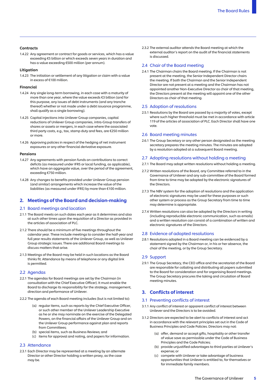#### Contracts

 1.4.22 Any agreement or contract for goods or services, which has a value exceeding €5 billion or which exceeds seven years in duration and has a value exceeding €500 million (per annum).

#### Litigation

 1.4.23 The initiation or settlement of any litigation or claim with a value in excess of €100 million.

#### Financial

- 1.4.24 Any single long-term borrowing, in each case with a maturity of more than one year, where the value exceeds €3 billion (and for this purpose, any issues of debt instruments (and any tranche thereof) whether or not made under a debt issuance programme, shall qualify as a single borrowing).
- 1.4.25 Capital injections into Unilever Group companies, capital reductions of Unilever Group companies, intra-Group transfers of shares or assets or mergers, in each case where the associated third party costs, e.g., tax, stamp duty and fees, are €250 million or more.
- 1.4.26 Approving policies in respect of the hedging of net instrument exposures or any other financial derivative exposure.

#### Pensions

- 1.4.27 Any agreements with pension funds on contributions to correct deficits (as measured under IFRS or local funding, as applicable), which have an aggregate value, over the period of the agreement, exceeding €750 million.
- 1.4.28 Any changes to benefits provided under Unilever Group pension (and similar) arrangements which increase the value of the liabilities (as measured under IFRS) by more than €100 million.

# 2. Meetings of the Board and decision-making

# 2.1 Board meetings and location

- 2.1.1 The Board meets on such dates each year as it determines and also at such other times upon the requisition of a Director as provided in the articles of association of PLC.
- 2.1.2 There should be a minimum of five meetings throughout the calendar year. These include meetings to consider the half-year and full year results statements of the Unilever Group, as well as Unilever Group strategic issues. There are additional Board meetings to discuss matters that arise.
- 2.1.3 Meetings of the Board may be held in such locations as the Board thinks fit. Attendance by means of telephone or any digital link is permitted.

#### 2.2 Agendas

- 2.2.1 The agendas for Board meetings are set by the Chairman (in consultation with the Chief Executive Officer). It must enable the Board to discharge its responsibility for the strategy, management, direction and performance of Unilever.
- 2.2.2 The agenda of each Board meeting includes (but is not limited to):
	- (a) regular items, such as reports by the Chief Executive Officer, or such other member of the Unilever Leadership Executive as he or she may nominate on the exercise of the Delegated Powers, on the financial affairs of the Unilever Group and on the Unilever Group performance against plan and reports from Committees;
	- (b) special items, such as Business Reviews; and
	- (c) items for approval and noting, and papers for information.

#### 2.3 Attendance

 2.3.1 Each Director may be represented at a meeting by an alternate Director or other Director holding a written proxy, as the case may be.

 2.3.2 The external auditor attends the Board meeting at which the external auditor's report on the audit of the financial statements is discussed.

# 2.4 Chair of the Board meeting

 2.4.1 The Chairman chairs the Board meeting. If the Chairman is not present at the meeting, the Senior Independent Director chairs the meeting. If both the Chairman and the Senior Independent Director are not present at a meeting and the Chairman has not appointed another Non-Executive Director as chair of that meeting, the Directors present at the meeting will appoint one of the other Directors as chair of that meeting.

#### 2.5 Adoption of resolutions

 2.5.1 Resolutions by the Board are passed by a majority of votes, except where such higher threshold must be met in accordance with article 119 of the articles of association of PLC. Each Director shall have one vote.

#### 2.6 Board meeting minutes

 2.6.1 The Group Secretary or any other person designated as the meeting secretary prepares the meeting minutes. The minutes are adopted by a resolution adopted at a subsequent Board meeting.

#### 2.7 Adopting resolutions without holding a meeting

- 2.7.1 The Board may adopt written resolutions without holding a meeting.
- 2.7.2 Written resolutions of the Board, any Committee referred to in the Governance of Unilever and any sub-committee of the Board formed from time to time may be adopted by the electronic signatures of the Directors.
- 2.7.3 The NBV system for the adoption of resolutions and the application of electronic signatures may be used for these purposes or such other system or process as the Group Secretary from time to time may determine is appropriate.
- 2.7.4 Written resolutions can also be adopted by the Directors in writing (including reproducible electronic communication, such as emails) and a written resolution can consist of a combination of written and electronic signatures of the Directors.

#### 2.8 Evidence of adopted resolutions

 2.8.1 Resolutions adopted in a Board meeting can be evidenced by a statement signed by the Chairman or, in his or her absence, the chair of the meeting, or by the Group Secretary.

#### 2.9 Support

 2.9.1 The Group Secretary, the CEO office and the secretariat of the Board are responsible for collating and distributing all papers submitted to the Board for consideration and for organising Board meetings. The Group Secretary procures the taking and circulation of Board meeting minutes.

#### 3. Conflicts of interest

#### 3.1 Preventing conflicts of interest

- 3.1.1 Any conflict of interest or apparent conflict of interest between Unilever and the Directors is to be avoided.
- 3.1.2 Directors are expected to be alert to conflicts of interest and act in accordance with the relevant principles set out in the Code of Business Principles and Code Policies. Directors may not:
	- (a) offer, demand or accept gifts, hospitality or other transfer of value save as permissible under the Code of Business Principles and the Code Policies;
	- (b) provide unjustified advantages to third parties at Unilever's expense; or
	- (c) compete with Unilever or take advantage of business opportunities that Unilever is entitled to, for themselves or for immediate family members.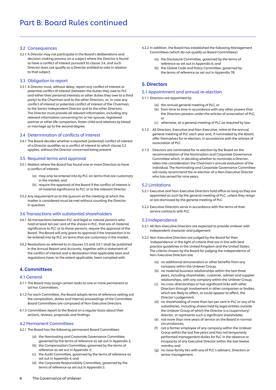### 3.2 Consequences

3.2.1 A Director may not participate in the Board's deliberations and decision-making process on a subject where the Director is found to have a conflict of interest pursuant to clause 3.4, and such Director does not qualify as a Director entitled to vote in relation to that subject.

#### 3.3 Obligation to report

3.3.1 A Director must, without delay, report any conflict of interest or potential conflict of interest (between the duties they owe to PLC and either their personal interests or other duties they owe to a third party) to the Chairman and to the other Directors, or, in case any conflict of interest or potential conflict of interest of the Chairman, to the Senior Independent Director and to the other Directors. The Director must provide all relevant information, including any relevant information concerning his or her spouse, registered partner or other life companion, foster child and relatives by blood or marriage up to the second degree.

#### 3.4 Determination of conflicts of interest

3.4.1 The Board decides whether a reported (potential) conflict of interest of a Director qualifies as a conflict of interest to which clause 3.2 applies, without the Director concerned being present.

#### 3.5 Required terms and approval

- 3.5.1 Matters where the Board has found one or more Directors to have a conflict of interest:
	- (a) may only be entered into by PLC on terms that are customary in the market; and
	- (b) require the approval of the Board if the conflict of interest is of material significance to PLC or to the relevant Director.
- 3.5.2 Any requirement as to the quorum at the meeting at which the matter is considered must be met without counting the Director in question.

#### 3.6 Transactions with substantial shareholders

- 3.6.1 All transactions between PLC and legal or natural persons who hold at least ten per cent of the shares in PLC, that are of material significance to PLC or to those persons, require the approval of the Board. The Board will only grant its approval if the transaction is to be entered into by PLC on terms that are customary in the market.
- 3.6.2 Resolutions as referred to in clauses 3.5 and 3.6.1 shall be published in the Annual Report and Accounts, together with a statement of the conflict of interest and a declaration that applicable laws and regulations have, to the extent applicable, been complied with.

# 4. Committees

#### 4.1 General

- 4.1.1 The Board may assign certain tasks to one or more permanent or ad hoc Committees.
- 4.1.2 For each Committee, the Board adopts terms of reference setting out the composition, duties and internal proceedings of the Committee. Board Committees are composed of Non-Executive Directors.
- 4.1.3 Committees report to the Board on a regular basis about their actions, reviews, proposals and findings.

#### 4.2 Permanent Committees

4.2.1 The Board has the following permanent Board Committees:

- (a) the Nominating and Corporate Governance Committee, governed by the terms of reference as set out in Appendix 2;
- (b) the Compensation Committee, governed by the terms of reference as set out in Appendix 3;
- (c) the Audit Committee, governed by the terms of reference as set out in Appendix 4; and
- (d) the Corporate Responsibility Committee, governed by the terms of reference as set out in Appendix 5.
- 4.2.2 In addition, the Board has established the following Management Committees (which do not qualify as Board Committees):
	- (a) the Disclosure Committee, governed by the terms of reference as set out in Appendix 6; and
	- (b) the Global Code and Policy Committee, governed by the terms of reference as set out in Appendix 7B.

# 5. Directors

#### 5.1 Appointment and annual re-election

5.1.1 Directors are appointed by:

- (a) the annual general meeting of PLC; or
- (b) from time to time in accordance with any other powers that the Directors possess under the articles of association of PLC; or
- (c) otherwise, at a general meeting of PLC as required by law.
- 5.1.2 All Directors, Executive and Non-Executive, retire at the annual general meeting of PLC each year and, if nominated by the Board, offer themselves for re-election, in accordance with the articles of association of PLC.
- 5.1.3 Directors are nominated for re-election by the Board on the recommendation of the Nomination and Corporate Governance Committee which, in deciding whether to nominate a Director, takes into consideration the Chairman's annual evaluation of the individual. The Nominating and Corporate Governance Committee will rarely recommend the re-election of a Non-Executive Director who has served for nine years.

#### 5.2 Limitations

- 5.2.1 Executive and Non-Executive Directors hold office as long as they are appointed as such by the general meeting of PLC, unless they resign or are dismissed by the general meeting of PLC.
- 5.2.2 Executive Directors serve in accordance with the terms of their service contracts with PLC.

#### 5.3 Independence

- 5.3.1 All Non-Executive Directors are expected to provide Unilever with independent character and judgement.
- 5.3.2 Non-Executive Directors are judged by the Board for their 'independence' in the light of criteria that are in line with best practice guidelines in the United Kingdom and the United States. The criteria chosen by the Board for judging the independence of Non-Executive Directors are:
	- (a) no additional remuneration or other benefits from any company within the Unilever Group;
	- (b) no material business relationships within the last three years, including shareholder, customer, adviser and supplier relationships, with any company within the Unilever Group;
	- (c) no cross-directorships or has significant links with other Directors through involvement in other companies or bodies, which are likely to affect, or could appear to affect, the Director's judgement;
	- (d) no shareholding of more than ten per cent in PLC or any of its subsidiaries, including shares held by legal entities outside the Unilever Group of which the Director is a (supervisory) director, or represents such a significant shareholder;
	- (e) not more than nine years of service on the Board in normal circumstances;
	- (f) not a former employee of any company within the Unilever Group within the last five years and has not temporarily performed management duties for PLC in the absence or incapacity of any Executive Director within the last twelve months; and
	- (g) no close family ties with any of PLC's advisers, Directors or senior management.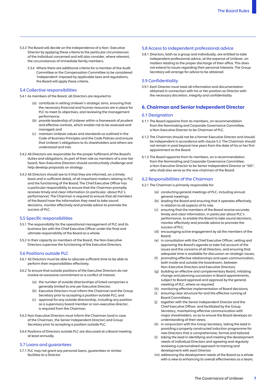- 5.3.3 The Board will decide on the independence of a Non- Executive Director by applying these criteria to the particular circumstances of the individual concerned and will also consider, where relevant, the circumstances of immediate family members.
	- 5.3.4 Where there are additional criteria for a member of the Audit Committee or the Compensation Committee to be considered 'independent' imposed by applicable laws and regulations, the Board will apply these criteria.

#### 5.4 Collective responsibilities

- 5.4.1 As members of the Board, all Directors are required to:
	- (a) contribute in setting Unilever's strategic aims, ensuring that the necessary financial and human resources are in place for PLC to meet its objectives, and reviewing the management performance;
	- (b) provide leadership of Unilever within a framework of prudent and effective controls, which enable risk to be assessed and managed; and
	- (c) maintain Unilever values and standards as outlined in the Code of Business Principles and the Code Policies and ensure that Unilever's obligations to its shareholders and others are understood and met.
- 5.4.2 All Directors are responsible for the proper fulfilment of the Board's duties and obligations. As part of their role as members of a one-tier board, Non-Executive Directors should constructively challenge and help develop proposals on strategy.
- 5.4.3 All Directors should see to it that they are informed, on a timely basis and in sufficient detail, of all important matters relating to PLC and the functioning of the Board. The Chief Executive Officer has a particular responsibility to ensure that the Chairman promptly receives timely and clear information (in particular, about PLC's performance). The Chairman is required to ensure that all members of the Board have the information they need to take sound decisions, monitor effectively and provide advice to promote the success of PLC.

#### 5.5 Specific responsibilities

- 5.5.1 The responsibility for the operational management of PLC and its business lies with the Chief Executive Officer under the final and ultimate responsibility of the Board as a whole.
- 5.5.2 In their capacity as members of the Board, the Non-Executive Directors supervise the functioning of the Executive Directors.

#### 5.6 Positions outside PLC

- 5.6.1 All Directors must be able to allocate sufficient time to be able to perform their responsibilities effectively.
- 5.6.2 To ensure that outside positions of the Executive Directors do not involve an excessive commitment or a conflict of interest:
	- (a) the number of outside directorships of listed companies is generally limited to one per Executive Director;
	- (b) Executive Directors must inform the Chairman and the Group Secretary prior to accepting a position outside PLC; and
	- (c) approval for any outside directorship, including any position as a supervisory board member or non-executive director, is required from the Chairman.
- 5.6.3 Non-Executive Directors must inform the Chairman (and in case of the Chairman, the Senior Independent Director) and Group Secretary prior to accepting a position outside PLC.
- 5.6.4 Positions of Directors outside PLC are discussed at a Board meeting at least annually.

#### 5.7 Loans and guarantees

 5.7.1 PLC may not grant any personal loans, guarantees or similar facilities to a Director.

#### 5.8 Access to independent professional advice

 5.8.1 Directors, both as a group and individually, are entitled to take independent professional advice, at the expense of Unilever, on matters relating to the proper discharge of their office. This does not extend to issues regarding their personal interests. The Group Secretary will arrange for advice to be obtained.

#### 5.9 Confidentiality

 5.9.1 Each Director must treat all information and documentation obtained in connection with his or her position as Director with the necessary discretion, integrity and confidentiality.

#### 6. Chairman and Senior Independent Director

#### 6.1 Designation

- 6.1.1 The Board appoints from its members, on recommendation from the Nominating and Corporate Governance Committee, a Non-Executive Director to be Chairman of PLC.
- 6.1.2 The Chairman should not be a former Executive Director and should be independent in accordance with clause 5.3. The Chairman should not remain in post beyond nine years from the date of his or her first appointment to the Board.
- 6.1.3 The Board appoints from its members, on a recommendation from the Nominating and Corporate Governance Committee, a Non-Executive Director to be Senior Independent Director or "SID", who shall also serve as the vice-chairman of the Board.

# 6.2 Responsibilities of the Chairman

#### 6.2.1 The Chairman is primarily responsible for:

- (a) conducting general meetings of PLC, including annual general meetings;
- (b) leading the Board and ensuring that it operates effectively in relation to all aspects of its role;
- (c) ensuring that the members of the Board receive accurate, timely and clear information, in particular about PLC's performance, to enable the Board to take sound decisions, monitor effectively and provide advice to promote the success of PLC;
- (d) encouraging active engagement by all the members of the Board;
- (e) in consultation with the Chief Executive Officer, setting and approving the Board's agenda to take full account of the issues and the concerns of all Directors, and ensuring that adequate time is available for discussion on strategic issues;
- (f) promoting effective relationships and open communication, both inside and outside the boardroom, between Non-Executive Directors and Executive Directors;
- (g) building an effective and complementary Board, initiating change and planning succession in Board appointments, subject to Board approval and approval by the general meeting of PLC, where so required;
- (h) monitoring effective implementation of Board decisions;
- (i) ensuring clear structure for and the effective running of Board Committees;
- $(i)$ together with the Senior Independent Director and the Chief Executive Officer, and facilitated by the Group Secretary, maintaining effective communication with major shareholders, so as to ensure the Board develops an understanding of their views;
- (k) in conjunction with the Group Secretary, taking the lead in providing a properly constructed induction programme for new Directors that is comprehensive, formal and tailored;
- (l) taking the lead in identifying and meeting the development needs of individual Directors and agreeing and regularly reviewing a personalised approach to training and development with each Director;
- (m) addressing the development needs of the Board as a whole with a view to enhancing its overall effectiveness as a team;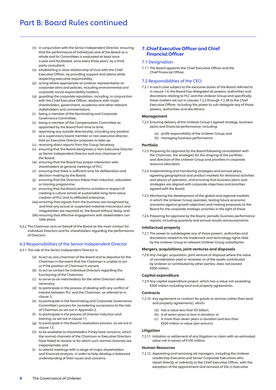- (n) in conjunction with the Senior Independent Director, ensuring that the performance of individuals and of the Board as a whole and its Committees is evaluated at least once a year and facilitated, once every three years, by a third party consultant;
- (o) establishing a close relationship of trust with the Chief Executive Officer, by providing support and advice while respecting executive responsibility;
- (p) acting where appropriate as Unilever representative on corporate aims and policies, including environmental and corporate social responsibility matters;
- (q) guarding the corporate reputation, including, in conjunction with the Chief Executive Officer, relations with major shareholders, government, academia and other relevant stakeholders and commentators;
- (r) being a member of the Nominating and Corporate Governance Committee;
- (s) being a member of the Compensation Committee as appointed by the Board from time to time;
- (t) approving any outside directorship, including any position as a supervisory board member or non-executive director, that an Executive Director proposes to take up;
- (u) receiving direct reports from the Group Secretary;
- (v) ensuring that the Board designates a Non-Executive Director as Senior Independent Director and vice-chairman of the Board;
- (w) ensuring that the Board has proper interaction with shareholders at general meetings of PLC;
- (x) ensuring that there is sufficient time for deliberation and decision-making by the Board;
- (y) ensuring that the Directors follow their induction, education or training programme;
- (z) ensuring that the Board performs activities in respect of creating a culture aimed at sustainable long-term value creation of PLC and its affiliated enterprise;
- (aa) ensuring that signals from the business are recognised by, and that any actual or suspected material misconduct and irregularities are reported to, the Board without delay; and
- (bb) ensuring that effective engagement with stakeholders can take place.
- 6.2.2 The Chairman acts on behalf of the Board as the main contact for individual Directors and for shareholders regarding the performance of Directors.

#### 6.3 Responsibilities of the Senior Independent Director

- 6.3.1 The role of the Senior Independent Director is:
	- e role of the Senior Independent Director is:<br>(a) to act as vice-chairman of the Board and to deputise for the Chairman in the event that the Chairman is unable to act or if the position of Chairman is vacant;
	- (b) to act as contact for individual Directors regarding the functioning of the Chairman;
	- (c) to serve as an intermediary for the other Directors when necessary;
	- (d) to participate in the process of dealing with any conflict of interest between PLC and the Chairman, as referred to in clause 3;
	- (e) to participate in the Nominating and Corporate Governance Committee's process for considering successions to the role of Chairman as set out in Appendix 2;
	- (f) to participate in the process of Director induction and training, as set out in clause 11;
	- (g) to participate in the Board's evaluation process, as set out in clause 12;
	- (h) to be available to shareholders if they have concerns, which the normal channels of the Chairman or Executive Directors have failed to resolve or for which such normal channels are inappropriate; and
	- (i) to attend meetings with a range of major shareholders and financial analysts, in order to help develop a balanced understanding of their issues and concerns.

# 7. Chief Executive Officer and Chief Financial Officer

#### 7.1 Designation

7.1.1 The Board appoints the Chief Executive Officer and the Chief Financial Officer.

#### 7.2 Responsibilities of the CEO

7.2.1 In each case subject to the exclusive duties of the Board referred to in clause 1.4, the Board has delegated all powers, authorities and discretions relating to PLC and the Unilever Group and specifically those matters set out in clauses 7.2.2 through 7.2.28 to the Chief Executive Officer, including the power to sub-delegate any of those powers, authorities and discretions.

#### Management

- 7.2.2 Ensuring delivery of the Unilever Group's agreed strategy, business plans and financial performance, including:
	- (a) profit responsibility of the Unilever Group; and
	- (b) managing business performance.

#### Portfolio

- 7.2.3 Proposing for approval by the Board following consultation with the Chairman, the strategies for the shaping of the portfolio and direction of the Unilever Group and priorities in corporate resource allocation.
- 7.2.4 Implementing and monitoring strategies and annual plans, agreeing geographical and product markets for divisional activities and places of operation, and ensuring that business plans and strategies are aligned with corporate objectives and priorities agreed with the Board.
- 7.2.5 Monitoring the development of the global and regional markets in which the Unilever Group operates, testing future economic scenarios against growth objectives and making proposals to the Board for the corporate strategic priorities in the light of these.
- 7.2.6 Preparing for approval by the Board, periodic business performance reports, including quarterly and annual results announcements.

#### Intellectual property

7.2.7 The power to subdelegate any of those powers, authorities and discretions related to the trademark and technology rights held by the Unilever Group to relevant Unilever Group subsidiaries.

#### Mergers, acquisitions, joint ventures and disposals

7.2.8 Any merger, acquisition, joint venture or disposal where the value of consideration paid or received, or of the assets contributed by Unilever or contributed by other parties, does not exceed €500 million.

#### Capital expenditure

7.2.9 Any capital expenditure project, which has a value not exceeding €500 million including land and property agreements.

#### **Contracts**

- 7.2.10 Any agreement or contract for goods or services (other than land and property agreements), which:
	- (a) has a value less than €5 billion;
	- (b) is of seven years or less in duration; or
	- (c) is more than seven years in duration and less than €500 million in value (per annum).

#### **Litigation**

7.2.11 Initiation or settlement of any litigation or claim with an estimated value not in excess of €100 million.

#### Human Resources

7.2.12 Appointing and removing all managers, including the Unilever Leadership Executive and Senior Corporate Executives who report directly or indirectly to the Chief Executive Officer, with the exception of the appointment and removal of the (i) Executive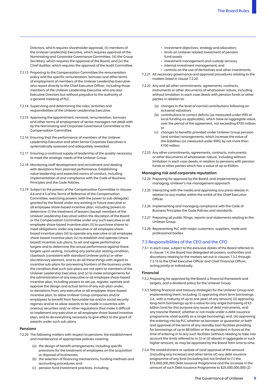Directors, which requires shareholder approval, (ii) members of the Unilever Leadership Executive, which requires approval of the Nominating and Corporate Governance Committee, (iii) the Group Secretary, which requires the approval of the Board, and (iv) the Chief Auditor, which requires the approval of the Audit Committee.

- 7.2.13 Proposing to the Compensation Committee the remuneration policy and the specific remuneration, bonuses and other terms of employment of members of the Unilever Leadership Executive who report directly to the Chief Executive Officer, including those members of the Unilever Leadership Executive who are also Executive Directors but without prejudice to the authority of a general meeting of PLC.
- 7.2.14 Supervising and determining the roles, activities and responsibilities of the Unilever Leadership Executive.
- 7.2.15 Approving the appointment, removal, remuneration, bonuses and other terms of employment of senior managers not dealt with by the Nominating and Corporate Governance Committee or the Compensation Committee.
- 7.2.16 Ensuring that the performance of members of the Unilever Leadership Executive and other Senior Corporate Executives is systematically assessed and adequately rewarded.
- 7.2.17 Ensuring a continual supply of leadership of the quality necessary to meet the strategic needs of the Unilever Group.
- 7.2.18 Monitoring staff development and recruitment and dealing with deviations from planned performance. Establishing value leadership and expected norms of conduct, including implementation of and compliance with the Code of Business Principles and the Code Policies.
- 7.2.19 Subject to the powers of the Compensation Committee in clauses 4.4 and 4.5 of the Terms of Reference of the Compensation Committee, exercising powers (with the power to sub-delegate) granted by the Board under any existing or future executive or all employee share-based incentive plan, including powers to determine: (i) the treatment of leavers (except members of the Unilever Leadership Executive) within the discretion of the Board or the Compensation Committee under any such executive or all employee share-based incentive plan; (ii) to purchase shares to meet obligations under any executive or all employee sharebased incentive plan; (iii) to operate any executive or all employee share-based incentive plan; (iv) to establish and operate (share based) incentive sub-plans, to set and agree performance targets and to determine the actual performance against these targets upon vesting, including any particular vesting condition, clawback (consistent with standard Unilever policy) or other discretionary element, and to do all these things with regard to incentive sub-plans for pioneering frontiers of the business under the condition that such sub-plans are not open to members of the Unilever Leadership Executive; and (v) to make arrangements for the administration of any executive or all employee share-based incentive plan, including powers to set-up, register, operate and approve the design and actual terms of any sub-plan under, or deviations from, any executive or all employee share-based incentive plan, to allow Unilever Group companies and/or employees to benefit from favourable tax and/or social security regimes and/or to allow awards to be made in countries with onerous securities and/ or other regulations that make it difficult to implement any executive or all employee share-based incentive plan, and to do everything necessary to give effect to the grant of awards under such sub-plans.

#### Pensions

- 7.2.20 The following matters with respect to pensions: the establishment and maintenance of appropriate policies covering:
	- (a) the design of benefit arrangements, including specific provisions for the treatment of employees on the acquisition or disposal of businesses;
	- (b) the selection of financing mechanisms, funding methods and accounting procedures; and
	- (c) pension fund investment practices, including:
- investment objectives, strategy and allocation;
- • limits on Unilever related investment of pension fund assets
- investment management and custody services;
- internal investment management; and
- controls on the use of derivatives and other investments.
- 7.2.21 All necessary governance and approval procedures relating to the matters listed in clause 7.2.20.
- 7.2.22 Any and all other commitments, agreements, contracts, instruments or other documents of whatsoever nature, including without limitation in each case deeds with pension funds or other parties in relation to:
	- (a) changes in the level of normal contributions following an actuarial valuation;
	- (b) contributions to correct deficits (as measured under IFRS or local funding as applicable), which have an aggregate value, over the period of the agreement, not exceeding €750 million; or
	- (c) changes to benefits provided under Unilever Group pension (and similar) arrangements, which increase the value of the liabilities (as measured under IFRS) by not more than €100 million.
- 7.2.23 Any other commitments, agreements, contracts, instruments or other documents of whatsoever nature, including without limitation in each case deeds, in relation to pensions with pension funds or other parties which has a value of up to €500m.

#### Managing risk and corporate reputation

- 7.2.24 Preparing for approval by the Board, and implementing and managing, Unilever's risk management approach.
- 7.2.25 Interacting with the media and approving any press release in relation to any matter within the ambit of the Chief Executive Officer.
- 7.2.26 Implementing and managing compliance with the Code of Business Principles the Code Policies and standards.
- 7.2.27 Preparing all public filings, reports and statements relating to the Unilever Group.
- 7.2.28 Representing PLC with major customers, suppliers, trade and professional bodies.

#### 7.3 Responsibilities of the CEO and the CFO

 7.3.1 In each case, subject to the exclusive duties of the Board referred to in clause 1.4, the Board has delegated all powers, authorities and discretions relating to the matters set out in clauses 7.3.2 through 7.3.15 to the Chief Executive Officer and Chief Financial Officer, acting jointly or individually.

#### Financial

- 7.3.2 Proposing for approval by the Board: a financial framework and targets, and a dividend policy for the Unilever Group.
- 7.3.3 Setting financial and treasury strategies for the Unilever Group and implementing them, including: (i) approving short term borrowings (i.e., with a maturity of up to one year) of any amount; (ii) approving long-term borrowings up to a value for any single borrowing of €3 billion (and for this purpose any issues of debt instruments, and any tranche thereof, whether or not made under a debt issuance programme, shall qualify as a single borrowing); and, (iii) approving the entering into by PLC whether as borrower or guarantor or both and approval of the terms of any standby loan facilities providing for borrowings of up to \$8 billion or the equivalent in Euros at the time of entering in to any such facilities (without needing to take into account the limits referred to in (i) or (ii) above) in aggregate or such higher amount, as may be approved by the Board from time to time.
- 7.3.4 The establishment or update of (and approval of the amount (including any increase) and other terms of) any debt issuance programme of any kind (including but not limited to (1) the \$15,000,000,000 Debt Issuance Programme and the increase in the amount of such Debt Issuance Programme to \$25,000,000,000 (2)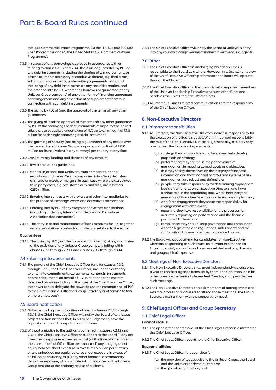the Euro Commercial Paper Programme, (3) the U.S. \$25,000,000,000 Shelf Programme and (4) the United States 4(2) Commercial Paper Programme).

- 7.3.5 In respect of any borrowings approved in accordance with or relating to clauses 7.3.3 and 7.3.4, the issue or guarantee by PLC of any debt instruments (including the signing of any agreements or other documents necessary or conducive thereto, e.g. final terms, subscription agreements, underwriting agreements, etc.), and the listing of any debt instruments on any securities market, and the entering into by PLC whether as borrower or guarantor (of any Unilever Group company) of any other form of financing agreement or arrangement and any amendment or supplement thereto in connection with such debt instruments.
- 7.3.6 The giving by PLC of (and the approval of the terms of) any other guarantees.
- 7.3.7 The giving of (and the approval of the terms of) any other guarantees by PLC of the borrowings or debt instruments of any direct or indirect subsidiary or subsidiary undertaking of PLC up to an amount of €1.5 billion for each single borrowing or debt instrument.
- 7.3.8 The granting of security (not being a guarantee) of any nature over the assets of any Unilever Group company, up to a limit of €250 million (or its equivalent in any currency) per country at any time.
- 7.3.9 Cross currency funding and deposits of any amount.
- 7.3.10 Investor relations guidelines.
- 7.3.11 Capital injections into Unilever Group companies, capital reductions of Unilever Group companies, intra-Group transfers of shares or assets or mergers, in each case where the associated third party costs, e.g. tax, stamp duty and fees, are less than €250 million.
- 7.3.12 Entering into contracts with brokers and other intermediaries for the purpose of exchange swaps and derivatives transactions.
- 7.3.13 Entering into by PLC of any swaps or derivatives transactions (including under any International Swaps and Derivatives Association documentation).
- 7.3.14 The entry in to and maintenance of bank accounts for PLC together with all resolutions, contracts and filings in relation to the same.

#### Guarantees

7.3.15 The giving by PLC (and the approval of the terms) of any guarantee of the activities of any Unilever Group company falling within clauses 7.2.1 through 7.2.11 and clauses 7.3.2 through 7.3.14.

#### 7.4 Entering into documents

7.4.1 The powers of the Chief Executive Officer (and for clauses 7.3.2 through 7.3.15, the Chief Financial Officer) include the authority to enter into commitments, agreements, contracts, instruments or other documents on behalf of PLC in relation to the matters described above (including, in the case of the Chief Executive Officer, the power to sub-delegate the power to use the common seal of PLC to the Chief Financial Officer or Group Secretary or otherwise to two or more employees).

# 7.5 Board notification

- 7.5.1 Notwithstanding the authorities outlined in clauses 7.3.2 through 7.3.15, the Chief Executive Officer will notify the Board of any issues, projects or transactions that, in his or her judgement, have the capacity to impact the reputation of Unilever.
- 7.5.2 Without prejudice to the authority conferred in clauses 7.3.12 and 7.3.15, the Chief Executive Officer shall report to the Board (i) any net investment exposures exceeding a cost (at the time of entering into the transaction) of €60 million per annum; (ii) any hedging of net equity balance sheet exposure in excess of €5 billion per currency or any unhedged net equity balance sheet exposure in excess of €5 billion per currency; or (iii) any other financial or commodity derivative exposure, which is material in the context of the Unilever Group and out of the ordinary course of business.

7.5.3 The Chief Executive Officer will notify the Board of Unilever's entry into any country through means of indirect investment, e.g. agents.

#### 7.6 Other

- 7.6.1 The Chief Executive Officer in discharging his or her duties is responsible to the Board as a whole. However, in articulating its view of the Chief Executive Officer's performance the Board will operate through the Chairman.
- 7.6.2 The Chief Executive Officer's direct reports will comprise all members of the Unilever Leadership Executive and such other functional heads as the Chief Executive Officer elects.
- 7.6.3 All internal business related communications are the responsibility of the Chief Executive Officer.

# 8. Non-Executive Directors

#### 8.1 Primary responsibilities

- 8.1.1 As Directors, the Non-Executive Directors share full responsibility for the execution of the Board's duties. Within this broad responsibility, the role of the Non-Executive Directors is, essentially, a supervisory one, having the following key elements:
	- (a) strategy: they constructively challenge and help develop proposals on strategy;
	- (b) performance: they scrutinise the performance of management in meeting agreed goals and objectives;
	- (c) risk: they satisfy themselves on the integrity of financial information and that financial controls and systems of risk management are robust and defensible;
	- (d) people: they take responsibility for determining appropriate levels of remuneration of Executive Directors, and have a prime role in the appointing and, where necessary the removing, of Executive Directors and in succession planning;
	- (e) workforce engagement: they share the responsibility for engagement with employees;
	- (f) reporting: they take responsibility for the processes for accurately reporting on performance and the financial position of Unilever; and
	- compliance: they should keep governance and compliance with the legislation and regulations under review and the conformity of Unilever practices to accepted norms.  $(a)$
- 8.1.2 The Board will adopt criteria for candidates for Non-Executive Directors, responding to such issues as relevant experience on financial, social, economic and business related matters, diversity, and geographical expertise.

#### 8.2 Meetings of Non-Executive Directors

- 8.2.1 The Non-Executive Directors shall meet independently at least once a year to consider agenda items set by them. The Chairman, or in his or her absence the Senior Independent Director, shall preside over such meetings.
- 8.2.2 The Non-Executive Directors can ask members of management and external professional advisers to attend those meetings. The Group Secretary assists them with the support they need.

# 9. Chief Legal Officer and Group Secretary

# 9.1 Chief Legal Officer

# Formal status

- 9.1.1 The appointment or removal of the Chief Legal Officer is a matter for the Chief Executive Officer.
- 9.1.2 The Chief Legal Officer reports to the Chief Executive Officer.

#### Responsibilities

9.1.3 The Chief Legal Officer is responsible for:

- (a) the provision of legal advice to the Unilever Group, the Board and the Unilever Leadership Executive;
- (b) the global legal function; and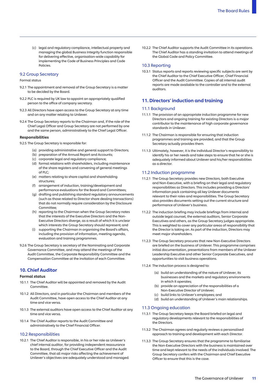(c) legal and regulatory compliance, intellectual property and managing the global Business Integrity function responsible for delivering effective, organisation-wide capability for implementing the Code of Business Principles and Code Policies.

#### 9.2 Group Secretary

#### Formal status

- 9.2.1 The appointment and removal of the Group Secretary is a matter to be decided by the Board.
- 9.2.2 PLC is required by UK law to appoint an appropriately qualified person to the office of company secretary.
- 9.2.3 All Directors have open access to the Group Secretary at any time and on any matter relating to Unilever.
- 9.2.4 The Group Secretary reports to the Chairman and, if the role of the Chief Legal Officer and Group Secretary are not performed by one and the same person, administratively to the Chief Legal Officer.

#### Responsibilities

- 9.2.5 The Group Secretary is responsible for:
	- (a) providing administrative and general support to Directors;
	- (b) preparation of the Annual Report and Accounts;
	- (c) corporate legal and regulatory compliance;
	- (d) formal relations with shareholders, including maintenance of the share registers and convening of general meetings of PLC;
	- (e) matters relating to share capital and shareholding structures;
	- (f) arrangement of induction, training/development and performance evaluations for the Board and Committees;
	- (g) drafting and publishing standard regulatory announcements (such as those related to Director share dealing transactions) that do not normally require consideration by the Disclosure Committee;
	- (h) reporting to the Chairman when the Group Secretary notes that the interests of the Executive Directors and the Non-Executive Directors diverge, as a result of which it is unclear which interests the Group Secretary should represent; and
	- (i) supporting the Chairman in organising the Board's affairs, including the provision of information, meeting agenda, evaluation and training programmes.
- 9.2.6 The Group Secretary is secretary of the Nominating and Corporate Governance Committee, and may attend the meetings of the Audit Committee, the Corporate Responsibility Committee and the Compensation Committee at the invitation of each Committee.

# 10. Chief Auditor

#### Formal status

- 10.1.1 The Chief Auditor will be appointed and removed by the Audit **Committee**
- 10.1.2 All Directors, and in particular the Chairman and members of the Audit Committee, have open access to the Chief Auditor at any time and vice versa.
- 10.1.3 The external auditors have open access to the Chief Auditor at any time and vice versa.
- 10.1.4 The Chief Auditor reports to the Audit Committee and administratively to the Chief Financial Officer.

#### 10.2 Responsibilities

 10.2.1 The Chief Auditor is responsible, in his or her role as Unilever's chief internal auditor, for providing independent reassurance to the Board, through the Chief Executive Officer and the Audit Committee, that all major risks affecting the achievement of Unilever's objectives are adequately understood and managed.  10.2.2 The Chief Auditor supports the Audit Committee in its operations. The Chief Auditor has a standing invitation to attend meetings of the Global Code and Policy Committee.

#### 10.3 Reporting

 10.3.1 Status reports and reports reviewing specific subjects are sent by the Chief Auditor to the Chief Executive Officer, Chief Financial Officer and the Audit Committee. Copies of all internal audit reports are made available to the controller and to the external auditors.

#### 11. Directors' induction and training

#### 11.1 Background

- 11.1.1 The provision of an appropriate induction programme for new Directors and ongoing training for existing Directors is a major contributor to the maintenance of high corporate governance standards in Unilever.
- 11.1.2 The Chairman is responsible for ensuring that induction programmes and training are provided, and that the Group Secretary actually provides them.
- 11.1.3 Ultimately, however, it is the individual Director's responsibility to identify his or her needs and take steps to ensure that he or she is adequately informed about Unilever and his/her responsibilities as a director.

#### 11.2 Induction programme

- 11.2.1 The Group Secretary provides new Directors, both Executive and Non-Executive, with a briefing on their legal and regulatory responsibilities as Directors. This includes providing a Directors' information pack containing all key Unilever documents relevant to their roles and responsibilities. The Group Secretary also provides documents setting out the current structure and performance of Unilever's business.
- 11.2.2 The induction briefing may include briefings from internal and outside legal counsel, the external auditors, Senior Corporate Executives and others, as the Group Secretary judges appropriate. This is weighted to cover any particular areas of responsibility that the Director is taking on. As part of the induction, Directors may meet major shareholders.
- 11.2.3 The Group Secretary procures that new Non-Executive Directors are briefed on the business of Unilever. This programme comprises initial documentation, presentations from members of the Unilever Leadership Executive and other Senior Corporate Executives, and opportunities to visit business operations.
- 11.2.4 The induction process is designed to:
	- (a) build an understanding of the nature of Unilever, its businesses and the markets and regulatory environments in which it operates;
	- (b) provide an appreciation of the responsibilities of a Non-Executive Director of Unilever;
	- (c) build links to Unilever's employees; and
	- (d) build an understanding of Unilever's main relationships.

#### 11.3 Ongoing education

- 11.3.1 The Group Secretary keeps the Board briefed on legal and regulatory developments relevant to the responsibilities of the Directors.
- 11.3.2 The Chairman agrees and regularly reviews a personalised approach to training and development with each Director.
- 11.3.3 The Group Secretary ensures that the programme to familiarise the Non-Executive Directors with the business is maintained over time and kept relevant to the needs of the individuals involved. The Group Secretary confers with the Chairman and Chief Executive Officer to ensure that this is the case.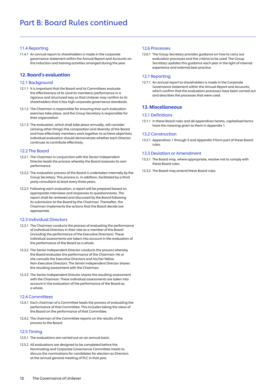# 11.4 Reporting

11.4.1 An annual report to shareholders is made in the corporate governance statement within the Annual Report and Accounts on the induction and training activities arranged during the year.

# 12. Board's evaluation

#### 12.1 Background

- 12.1.1 It is important that the Board and its Committees evaluate the effectiveness of its (and its members) performance in a rigorous and structured way so that Unilever may confirm to its shareholders that it has high corporate governance standards.
- 12.1.2 The Chairman is responsible for ensuring that such evaluation exercises take place, and the Group Secretary is responsible for their organisation.
- 12.1.3 The evaluation, which shall take place annually, will consider (among other things) the composition and diversity of the Board and how effectively members work together to achieve objectives. Individual evaluation should demonstrate whether each Director continues to contribute effectively.

#### 12.2 The Board

- 12.2.1 The Chairman in conjunction with the Senior Independent Director leads the process whereby the Board assesses its own performance.
- 12.2.2 The evaluation process of the Board is undertaken internally by the Group Secretary. This process is, in addition, facilitated by a third party consultant at least every three years.
- 12.2.3 Following each evaluation, a report will be prepared based on appropriate interviews and responses to questionnaires. The report shall be reviewed and discussed by the Board following its submission to the Board by the Chairman. Thereafter, the Chairman implements the actions that the Board decide are appropriate.

#### 12.3 Individual Directors

- 12.3.1 The Chairman conducts the process of evaluating the performance of individual Directors in their role as a member of the Board (including the performance of the Executive Directors). These individual assessments are taken into account in the evaluation of the performance of the Board as a whole.
- 12.3.2 The Senior Independent Director conducts the process whereby the Board evaluates the performance of the Chairman. He or she consults the Executive Directors and his/her fellow Non-Executive Directors. The Senior Independent Director shares the resulting assessment with the Chairman.
- 12.3.3 The Senior Independent Director shares the resulting assessment with the Chairman. These individual assessments are taken into account in the evaluation of the performance of the Board as a whole.

#### 12.4 Committees

- 12.4.1 Each chairman of a Committee leads the process of evaluating the performance of that Committee. This includes taking the views of the Board on the performance of that Committee.
- 12.4.2 The chairman of the Committee reports on the results of the process to the Board.

#### 12.5 Timing

- 12.5.1 The evaluations are carried out on an annual basis.
- 12.5.2 All evaluations are designed to be completed before the Nominating and Corporate Governance Committee meets to discuss the nominations for candidates for election as Directors at the annual general meeting of PLC in that year.

### 12.6 Processes

12.6.1 The Group Secretary provides guidance on how to carry out evaluation processes and the criteria to be used. The Group Secretary updates this guidance each year in the light of internal experience and external best practice.

#### 12.7 Reporting

12.7.1 An annual report to shareholders is made in the Corporate Governance statement within the Annual Report and Accounts, which confirm that the evaluation processes have been carried out and describes the processes that were used.

#### 13. Miscellaneous

#### 13.1 Definitions

13.1.1 In these Board rules and all appendices hereto, capitalised terms have the meaning given to them in Appendix 1.

#### 13.2 Construction

13.2.1 Appendices 1 through 5 and Appendix 9 form part of these Board rules.

#### 13.3 Deviation or Amendment

- 13.3.1 The Board may, where appropriate, resolve not to comply with these Board rules.
- 13.3.2 The Board may amend these Board rules.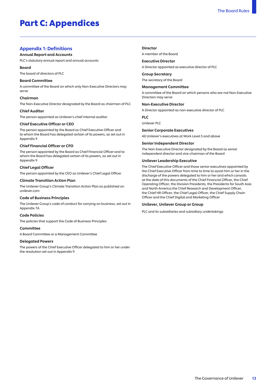# Part C: Appendices

# Appendix 1: Definitions

#### Annual Report and Accounts

PLC's statutory annual report and annual accounts

#### Board

The board of directors of PLC

#### Board Committee

A committee of the Board on which only Non-Executive Directors may serve

#### Chairman

The Non-Executive Director designated by the Board as chairman of PLC

#### Chief Auditor

The person appointed as Unilever's chief internal auditor

#### Chief Executive Officer or CEO

The person appointed by the Board as Chief Executive Officer and to whom the Board has delegated certain of its powers, as set out in Appendix 9

#### Chief Financial Officer or CFO

The person appointed by the Board as Chief Financial Officer and to whom the Board has delegated certain of its powers, as set out in Appendix 9

#### Chief Legal Officer

The person appointed by the CEO as Unilever's Chief Legal Officer

#### Climate Transition Action Plan

The Unilever Group's Climate Transition Action Plan as published on [unilever.com](https://unilever.com)

#### Code of Business Principles

The Unilever Group's code of conduct for carrying on business, set out in Appendix 7A

#### Code Policies

The policies that support the Code of Business Principles

#### **Committee**

A Board Committee or a Management Committee

#### Delegated Powers

The powers of the Chief Executive Officer delegated to him or her under the resolution set out in Appendix 9

#### Director

A member of the Board

Executive Director A Director appointed as executive director of PLC

Group Secretary The secretary of the Board

Management Committee

A committee of the Board on which persons who are not Non-Executive Directors may serve

Non-Executive Director

A Director appointed as non-executive director of PLC

PLC

Unilever PLC

#### Senior Corporate Executives

All Unilever's executives at Work Level 5 and above

#### Senior Independent Director

The Non-Executive Director designated by the Board as senior independent director and vice-chairman of the Board

#### Unilever Leadership Executive

The Chief Executive Officer and those senior executives appointed by the Chief Executive Officer from time to time to assist him or her in the discharge of the powers delegated to him or her and which consists at the date of this documents of the Chief Financial Officer, the Chief Operating Officer, the Division Presidents, the Presidents for South Asia and North America the Chief Research and Development Officer, the Chief HR Officer, the Chief Legal Officer, the Chief Supply Chain Officer and the Chief Digital and Marketing Officer

#### Unilever, Unilever Group or Group

PLC and its subsidiaries and subsidiary undertakings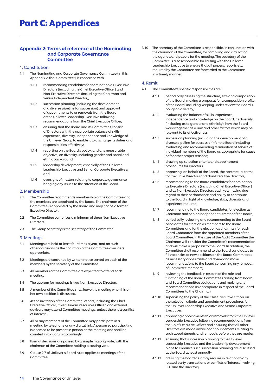# Part C: Appendices

# Appendix 2: Terms of reference of the Nominating and Corporate Governance **Committee**

#### 1. Constitution

- 1.1 The Nominating and Corporate Governance Committee (in this Appendix 2: the "Committee") is concerned with:
	- 1.1.1 recommending candidates for nomination as Executive Directors (including the Chief Executive Officer) and Non-Executive Directors (including the Chairman and Senior Independent Director);
	- succession planning (including the development of a diverse pipeline for succession) and approval of appointments to or removals from the Board or the Unilever Leadership Executive following recommendations from the Chief Executive Officer;  $1.1.2$
	- ensuring that the Board and its Committees consist of Directors with the appropriate balance of skills, experience, diversity, independence and knowledge of the Unilever Group to enable it to discharge its duties and responsibilities effectively;  $1.1.3$
	- reporting on the Board's policy, and any measurable objective, on diversity, including gender and social and ethnic background;  $1.1.4$
	- leadership development, especially of the Unilever Leadership Executive and Senior Corporate Executives; and  $1.1.5$
	- oversight of matters relating to corporate governance bringing any issues to the attention of the Board.  $1.1.6$

#### 2. Membership

- 2.1 The Committee recommends membership of the Committee and the members are appointed by the Board. The chairman of the Committee is appointed by the Board and may not be a former Executive Director.
- The Committee comprises a minimum of three Non-Executive Directors.  $22$
- 2.3 The Group Secretary is the secretary of the Committee.

#### 3. Meetings

- Meetings are held at least four times a year, and on such other occasions as the chairman of the Committee considers appropriate.  $31$
- Meetings are convened by written notice served on each of the members by the secretary of the Committee.  $3.2$
- All members of the Committee are expected to attend each meeting.  $33$
- The quorum for meetings is two Non-Executive Directors.  $34$
- 3.5 A member of the Committee shall leave the meeting when his or her own position is discussed.  $35$
- At the invitation of the Committee, others, including the Chief Executive Officer, Chief Human Resources Officer, and external advisers may attend Committee meetings, unless there is a conflict of interest.  $36$
- 3.7 All or any members of the Committee may participate in a meeting by telephone or any digital link. A person so participating is deemed to be present in person at the meeting and shall be counted in a quorum accordingly.
- Formal decisions are passed by a simple majority vote, with the chairman of the Committee holding a casting vote.  $38$
- 3.9 Clause 2.7 of Unilever's Board rules applies to meetings of the Committee.  $3.9$

3.10 The secretary of the Committee is responsible, in conjunction with the chairman of the Committee, for compiling and circulating the agenda and papers for the meeting. The secretary of the Committee is also responsible for liaising with the Unilever Leadership Executive to ensure that all papers, reports etc. required by the Committee are forwarded to the Committee in a timely manner.

#### 4. Remit

- The Committee's specific responsibilities are: 41
	- 4.1.1 periodically assessing the structure, size and composition of the Board, making a proposal for a composition profile of the Board, including keeping under review the Board's policy on diversity;
	- evaluating the balance of skills, experience, independence and knowledge on the Board, its diversity (including as to gender and ethnicity), how the Board works together as a unit and other factors which may be relevant to its effectiveness;  $4.1.2$
	- succession planning (including the development of  $a$ diverse pipeline for succession) for the Board including evaluating and recommending termination of service of individual members of the Board as appropriate for cause or for other proper reasons;  $413$
	- drawing up selection criteria and appointment procedures for Directors;  $414$
	- approving, on behalf of the Board, the contractual terms for Executive Directors and Non-Executive Directors;  $415$
	- recommending to the Board candidates for nomination as Executive Directors (including Chief Executive Officer) and as Non-Executive Directors each year having due regard to their performance and ability to contribute to the Board in light of knowledge, skills, diversity and experience required: 4.1.6
	- 4.1.7 recommending to the Board candidates for election as Chairman and Senior Independent Director of the Board; 417
	- periodically reviewing and recommending to the Board candidates for election as members to the Board Committees and for the election as chairman for each Board Committee from the appointed members of the Board Committee. In the case of the Audit Committee the Chairman will consider the Committee's recommendation and will make a proposal to the Board. In addition, the Committee shall recommend to the Board candidates to fill vacancies or new positions on the Board Committees as necessary or desirable and review and make recommendations to the Board concerning any removal of Committee members;  $4.1.8$
	- reviewing the feedback in respect of the role and functioning of the Board Committees arising from Board and Board Committee evaluations and making any recommendations as appropriate in respect of the Board Committees to the Chairman; 419
	- supervising the policy of the Chief Executive Officer on the selection criteria and appointment procedures for the Unilever Leadership Executive and Senior Corporate Executives; 4.1.10
	- approving appointments to or removals from the Unilever Leadership Executive following recommendations from the Chief Executive Officer and ensuring that all other Directors are made aware of announcements relating to such appointments and removals before they are made; 4111
	- ensuring that succession planning to the Unilever Leadership Executive and the leadership development plans to enhance such succession planning are discussed at the Board at least annually; 4.1.12
	- 4.1.13 advising the Board as it may require in relation to any related party transactions or conflicts of interest involving PLC and the Directors;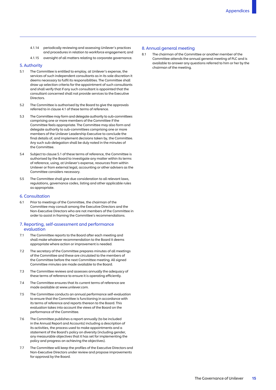- 4.1.14 periodically reviewing and assessing Unilever's practices and procedures in relation to workforce engagement; and
- 4.1.15 oversight of all matters relating to corporate governance.

#### 5. Authority

- $51$ The Committee is entitled to employ, at Unilever's expense, the services of such independent consultants as in its sole discretion it deems necessary to fulfil its responsibilities. The Committee shall draw up selection criteria for the appointment of such consultants and shall verify that if any such consultant is appointed that the consultant concerned shall not provide services to the Executive **Directors**
- $52$ The Committee is authorised by the Board to give the approvals referred to in clause 4.1 of these terms of reference.
- $53$ The Committee may form and delegate authority to sub-committees comprising one or more members of the Committee if the Committee feels appropriate. The Committee may also form and delegate authority to sub-committees comprising one or more members of the Unilever Leadership Executive to conclude the final details of, and implement decisions taken by, the Committee. Any such sub-delegation shall be duly noted in the minutes of the Committee.
- $54$ 5.4 Subject to clause 5.1 of these terms of reference, the Committee is authorised by the Board to investigate any matter within its terms of reference, using, at Unilever's expense, resources from within Unilever or from external legal, accounting or other advisers as the Committee considers necessary.
- 55 The Committee shall give due consideration to all relevant laws, regulations, governance codes, listing and other applicable rules as appropriate.

#### 6. Consultation

61 Prior to meetings of the Committee, the chairman of the Committee may consult among the Executive Directors and the Non-Executive Directors who are not members of the Committee in order to assist in framing the Committee's recommendations.

#### 7. Reporting, self-assessment and performance evaluation

- 7.1 The Committee reports to the Board after each meeting and shall make whatever recommendation to the Board it deems appropriate where action or improvement is needed.
- $72$ The secretary of the Committee prepares minutes of all meetings of the Committee and these are circulated to the members of the Committee before the next Committee meeting. All signed Committee minutes are made available to the Board.
- 73 The Committee reviews and assesses annually the adequacy of these terms of reference to ensure it is operating efficiently.
- $7<sub>A</sub>$ The Committee ensures that its current terms of reference are made available at [www.unilever.com.](www.unilever.com)
- 75 The Committee conducts an annual performance self-evaluation to ensure that the Committee is functioning in accordance with its terms of reference and reports thereon to the Board. This evaluation takes into account the views of the Board on the performance of the Committee.
- 76 The Committee publishes a report annually (to be included in the Annual Report and Accounts) including a description of its activities, the process used to make appointments and a statement of the Board's policy on diversity (including gender, any measurable objectives that it has set for implementing the policy and progress on achieving the objectives).
- $77$ The Committee will keep the profiles of the Executive Directors and Non-Executive Directors under review and propose improvements for approval by the Board.

#### 8. Annual general meeting

 $81$ The chairman of the Committee or another member of the Committee attends the annual general meeting of PLC and is available to answer any questions referred to him or her by the chairman of the meeting.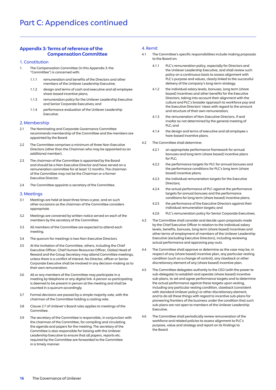# Appendix 3: Terms of reference of the Compensation Committee

#### 1. Constitution

- The Compensation Committee (in this Appendix 3: the "Committee") is concerned with:  $\mathbf{1}$ .
	- remuneration and benefits of the Directors and other members of the Unilever Leadership Executive;  $1.1.1$
	- design and terms of cash and executive and all employee share-based incentive plans;  $1.1.2$
	- 1.1.3 remuneration policy for the Unilever Leadership Executive and Senior Corporate Executives; and  $1.1.3$
	- 1.1.4 performance evaluation of the Unilever Leadership Executive. 114

#### 2. Membership

- 2.1 The Nominating and Corporate Governance Committee recommends membership of the Committee and the members are appointed by the Board.
- The Committee comprises a minimum of three Non-Executive Directors (other than the Chairman who may be appointed as an additional member).  $22$
- The chairman of the Committee is appointed by the Board and should be a Non-Executive Director and have served on a remuneration committee for at least 12 months. The chairman of the Committee may not be the Chairman or a former Executive Director.  $23$
- The Committee appoints a secretary of the Committee.  $2.4$

#### 3. Meetings

- 3.1 Meetings are held at least three times a year, and on such other occasions as the chairman of the Committee considers appropriate.
- Meetings are convened by written notice served on each of the members by the secretary of the Committee.  $3.2$
- All members of the Committee are expected to attend each meeting.  $3.3$
- The quorum for meetings is two Non-Executive Directors.  $3.4$
- At the invitation of the Committee, others, including the Chief Executive Officer, Chief Human Resources Officer, Global Head of Reward and the Group Secretary may attend Committee meetings, unless there is a conflict of interest. No Director, officer or Senior Corporate Executive shall be involved in any decision-making as to their own remuneration.  $3.5$
- All or any members of the Committee may participate in a meeting by telephone or any digital link. A person so participating is deemed to be present in person at the meeting and shall be counted in a quorum accordingly.  $36$
- 3.7 Formal decisions are passed by a simple majority vote, with the chairman of the Committee holding a casting vote.
- Clause 2.7 of Unilever's Board rules applies to meetings of the Committee.  $3.8$
- 3.9 The secretary of the Committee is responsible, in conjunction with the chairman of the Committee, for compiling and circulating the agenda and papers for the meeting. The secretary of the Committee is also responsible for liaising with the Unilever Leadership Executive to ensure that all papers, reports etc. required by the Committee are forwarded to the Committee in a timely manner. 39

### 4. Remit

- 4.1 The Committee's specific responsibilities include making proposals to the Board on:  $\overline{4}1$ 
	- 4.1.1 PLC's remuneration policy, especially for Directors and the Unilever Leadership Executive, and shall review such policy on a continuous basis to assess alignment with PLC's purpose and values, clearly linked to the successful delivery of the company's long-term strategy;
	- the individual salary levels, bonuses, long term (share based) incentives and other benefits for the Executive Directors, taking into account their alignment with the culture and PLC's broader approach to workforce pay and the Executive Directors' views with regard to the amount and structure of their own remuneration;  $4.1.2$
	- the remuneration of Non-Executive Directors, if and insofar as not determined by the general meeting of PLC; and  $4.1.3$
	- the design and terms of executive and all employee s hare-based incentive plans.  $4.1.4$
- The Committee shall determine:  $42$ 
	- 4.2.1 an appropriate performance framework for annual bonuses and long term (share based) incentive plans for PLC;  $4.2.1$
	- the performance targets for PLC for annual bonuses and the performance conditions for PLC's long term (share based) incentive plans;  $422$
	- 4.2.3 the individual remuneration targets for the Executive Directors;  $423$
	- the actual performance of PLC against the performance targets for annual bonuses and the performance conditions for long term (share based) incentive plans;  $A$ 2 $A$
	- the performance of the Executive Directors against their individual remuneration targets; and 425
	- PLC's remuneration policy for Senior Corporate Executives.  $4.2.6$
- The Committee shall consider and decide upon proposals made by the Chief Executive Officer in relation to the individual salary levels, benefits, bonuses, long term (share based) incentives and other terms of employment of members of the Unilever Leadership Executive (excluding Executive Directors), including reviewing actual performance and approving pay-outs.  $4.3$
- The Committee shall approve or determine as the case may be, in respect of any (share based) incentive plan, any particular vesting condition (such as a change of control), any clawback or other discretionary element of any (share based) incentive plan.  $4.4$
- The Committee delegates authority to the CEO (with the power to sub-delegate) to establish and operate (share based) incentive sub-plans, to set and agree performance targets and to determine the actual performance against these targets upon vesting, including any particular vesting condition, clawback (consistent with standard Unilever policy) or other discretionary element, and to do all these things with regard to incentive sub-plans for pioneering frontiers of the business under the condition that such sub-plans are not open to members of the Unilever Leadership Executive.  $45$
- The Committee shall periodically review remuneration of the workforce and related policies to assess alignment to PLC's purpose, value and strategy and report on its findings to the Board. 46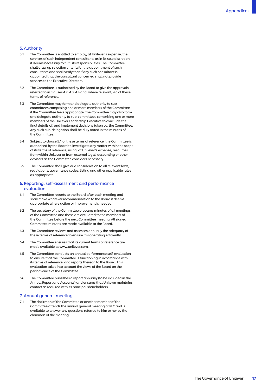# 5. Authority

- 5.1 The Committee is entitled to employ, at Unilever's expense, the services of such independent consultants as in its sole discretion it deems necessary to fulfil its responsibilities. The Committee shall draw up selection criteria for the appointment of such consultants and shall verify that if any such consultant is appointed that the consultant concerned shall not provide services to the Executive Directors.
- 52 The Committee is authorised by the Board to give the approvals referred to in clauses 4.2, 4.3, 4.4 and, where relevant, 4.6 of these terms of reference.
- $5.3$ 5.3 The Committee may form and delegate authority to sub committees comprising one or more members of the Committee if the Committee feels appropriate. The Committee may also form and delegate authority to sub-committees comprising one or more members of the Unilever Leadership Executive to conclude the final details of, and implement decisions taken by, the Committee. Any such sub-delegation shall be duly noted in the minutes of the Committee.
- 54 Subject to clause 5.1 of these terms of reference, the Committee is authorised by the Board to investigate any matter within the scope of its terms of reference, using, at Unilever's expense, resources from within Unilever or from external legal, accounting or other advisers as the Committee considers necessary.
- 55 The Committee shall give due consideration to all relevant laws, regulations, governance codes, listing and other applicable rules as appropriate.

#### 6. Reporting, self-assessment and performance evaluation

- 6.1 The Committee reports to the Board after each meeting and shall make whatever recommendation to the Board it deems appropriate where action or improvement is needed.
- $6.2$ The secretary of the Committee prepares minutes of all meetings of the Committee and these are circulated to the members of the Committee before the next Committee meeting. All signed Committee minutes are made available to the Board.
- $63$ The Committee reviews and assesses annually the adequacy of these terms of reference to ensure it is operating efficiently.
- 64 The Committee ensures that its current terms of reference are made available at [www.unilever.com.](www.unilever.com)
- 65 The Committee conducts an annual performance self-evaluation to ensure that the Committee is functioning in accordance with its terms of reference, and reports thereon to the Board. This evaluation takes into account the views of the Board on the performance of the Committee.
- 66 The Committee publishes a report annually (to be included in the Annual Report and Accounts) and ensures that Unilever maintains contact as required with its principal shareholders.

#### 7. Annual general meeting

7.1 The chairman of the Committee or another member of the Committee attends the annual general meeting of PLC and is available to answer any questions referred to him or her by the chairman of the meeting.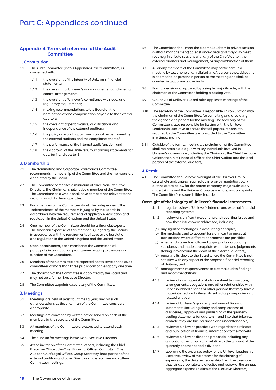# Appendix 4: Terms of reference of the Audit **Committee**

#### 1. Constitution

- 1.1 The Audit Committee (in this Appendix 4: the "Committee") is concerned with:
	- the oversight of the integrity of Unilever's financial statements;  $1.1.1$
	- the oversight of Unilever's risk management and internal control arrangements;  $1.1.2$
	- the oversight of Unilever's compliance with legal and regulatory requirements;  $1.1.3$
	- making recommendations to the Board on the nomination of and compensation payable to the external auditors; 114
	- the oversight of performance, qualifications and independence of the external auditors;  $1.1.5$
	- the policy on work that can and cannot be performed by the external auditors and the compliance thereof;  $1.1.6$
	- the performance of the internal audit function; and  $1.1.7$
	- the approval of the Unilever Group trading statements for quarter 1 and quarter 3.  $1.1.8$

#### 2. Membership

- 2.1 The Nominating and Corporate Governance Committee recommends membership of the Committee and the members are appointed by the Board.
- The Committee comprises a minimum of three Non-Executive Directors. The Chairman shall not be a member of the Committee. The Committee as a whole shall have competence relevant to the sector in which Unilever operates.  $22$
- Each member of the Committee should be 'independent'. The 'independence' of the members is judged by the Boards in accordance with the requirements of applicable legislation and regulation in the United Kingdom and the United States.  $2.3$
- 2.4 One member of the Committee should be a 'financial expert'. The 'financial expertise' of this member is judged by the Boards in accordance with the requirements of applicable legislation and regulation in the United Kingdom and the United States.  $24$
- Upon appointment, each member of the Committee will participate in an induction programme relating to the role and function of the Committee.  $25$
- 2.6 Members of the Committee are expected not to serve on the audit committees of more than three public companies at any one time. 2.6
- 2.7 The chairman of the Committee is appointed by the Board and may not be a former Executive Director.
- The Committee appoints a secretary of the Committee.  $2.8$

#### 3. Meetings

- 3.1 Meetings are held at least four times a year, and on such other occasions as the chairman of the Committee considers appropriate.
- Meetings are convened by written notice served on each of the members by the secretary of the Committee.  $32$
- All members of the Committee are expected to attend each meeting.  $3.3$
- The quorum for meetings is two Non-Executive Directors.  $3.4$
- At the invitation of the Committee, others, including the Chief Executive Officer, the Chief Financial Officer, Controller, Chief Auditor, Chief Legal Officer, Group Secretary, lead partner of the external auditors and other Directors and executives may attend Committee meetings.  $35$
- The Committee shall meet the external auditors in private session (without management) at least once a year and may also meet routinely in private sessions with any of the Chief Auditor, the external auditors and management, or any combination of them. 36
- All or any members of the Committee may participate in a meeting by telephone or any digital link. A person so participating is deemed to be present in person at the meeting and shall be counted in a quorum accordingly. 37
- Formal decisions are passed by a simple majority vote, with the chairman of the Committee holding a casting vote.  $3.8$
- Clause 2.7 of Unilever's Board rules applies to meetings of the **Committee** 3.9
- The secretary of the Committee is responsible, in conjunction with the chairman of the Committee, for compiling and circulating the agenda and papers for the meeting. The secretary of the Committee is also responsible for liaising with the Unilever Leadership Executive to ensure that all papers, reports etc. required by the Committee are forwarded to the Committee in a timely manner.  $3.10$
- 3.11 Outside of the formal meetings, the chairman of the Committee shall maintain a dialogue with key individuals involved in Unilever's governance (including the Chairman, the Chief Executive Officer, the Chief Financial Officer, the Chief Auditor and the lead partner of the external auditors).  $3.11$

#### 4. Remit

The Committee should have oversight of the Unilever Group as a whole and, unless required otherwise by regulation, carry out the duties below for the parent company, major subsidiary undertakings and the Unilever Group as a whole, as appropriate. The Committee's responsibilities include:  $41$ 

#### Oversight of the integrity of Unilever's financial statements.

- regular review of Unilever's internal and external financial reporting systems;  $4.1.1$
- review of significant accounting and reporting issues and how these issues were addressed, including:  $412$
- (a) any significant changes in accounting principles;
- (b) the methods used to account for significant or unusual transactions where different approaches are possible;
- (c) whether Unilever has followed appropriate accounting standards and made appropriate estimates and judgements (taking into account the views of the external auditors);
- (d) reporting its views to the Board where the Committee is not satisfied with any aspect of the proposed financial reporting of Unilever; and
- (e) management's responsiveness to external audit's findings and recommendations.
- review of any material off-balance sheet transactions, arrangements, obligations and other relationships with unconsolidated entities or other persons that may have a material effect on Unilever, its subsidiary companies and related entities;  $4.1.3$
- review of Unilever's quarterly and annual financial statements (including clarity and completeness of disclosure), approval and publishing of the quarterly trading statements for quarters 1 and 3 so that taken as a whole, they are fair, balanced and understandable;  $414$
- review of Unilever's practices with regard to the release and publication of financial information to the markets; 415
- review of Unilever's dividend proposals including any annual or other proposal in relation to the amount of the quarterly or other periodic dividend;  $4.1.6$
- 4.1.7 approving the expenses policy for the Unilever Leadership Executive, review of the process for the claiming of expenses by the Unilever Leadership Executive to ensure that it is appropriate and effective and review of the annual aggregate expenses claims of the Executive Directors; 417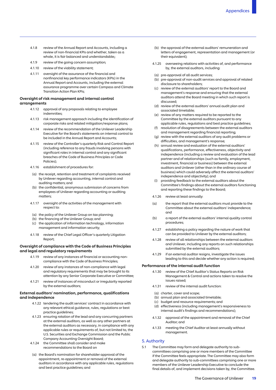- 418 review of the Annual Report and Accounts, including a review of non-financial KPIs and whether, taken as a whole, it is fair balanced and understandable::
- $4.1.9$ review of the going concern assumption;
- 4.1.10 review of the viability statement;
- 4.1.11 oversight of the assurance of the financial and nonfinancial key performance indicators (KPIs) in the Annual Report and Accounts, including the external assurance programme over certain Compass and Climate Transition Action Plan KPIs;

#### Oversight of risk management and internal control arrangements

- $4.1.12$ approval of any proposals relating to employee indemnities;
- $4.1.13$ risk management approach including the identification of corporate risks and related mitigation/response plans;
- 4.1.14 review of the recommendation of the Unilever Leadership Executive for the Board's statements on internal control to be included in the Annual Report and Accounts;
- 4.1.15 review of the Controller's quarterly Risk and Control Report (including reference to any frauds involving persons with significant roles in internal control and any significant breaches of the Code of Business Principles or Code Policies);
- 4.1.16 establishment of procedures for:
- (a) the receipt, retention and treatment of complaints received by Unilever regarding accounting, internal control and auditing matters; and
- (b) the confidential, anonymous submission of concerns from employees of Unilever regarding accounting or auditing matters;
- 4.1.17 oversight of the activities of the management with respect to:
- (a) the policy of the Unilever Group on tax planning;
- (b) the financing of the Unilever Group; and
- (c) the application of information technology, information management and information security;
- 4.1.18 review of the Chief Legal Officer's quarterly Litigation Report;

#### Oversight of compliance with the Code of Business Principles and legal and regulatory requirements

- 4.1.19 review of any instances of financial or accounting noncompliance with the Code of Business Principles;
- 4.1.20 review of any instances of non-compliance with legal and regulatory requirements that may be brought to its attention by any Senior Corporate Executive or Committee;
- 4121 review of instances of misconduct or irregularity reported by the external auditors;

#### External auditors' nomination, performance, qualifications and independence

- 4.1.22 tendering the audit services' contract in accordance with any relevant ethical guidance, rules, regulations or best practice quidelines:
- 4.1.23 ensuring rotation of the lead and any concurring partners at the external auditors, as well as any other partners at the external auditors as necessary, in compliance with any applicable rules or requirements of, but not limited to, the U.S. Securities and Exchange Commission and the Public Company Accounting Oversight Board;
- 4.1.24 the Committee shall consider and make recommendations to the Board on
- (a) the Board's nomination for shareholder approval of the appointment, re-appointment or removal of the external auditors in accordance with any applicable rules, regulations and best practice guidelines; and
- (b) the approval of the external auditors' remuneration and letters of engagement, representation and management (or their equivalent);
- 4.1.25 overseeing relations with activities of, and performance by, the external auditors, including:
- (a) pre-approval of all audit services;
- (b) pre-approval of non-audit services and approval of related disclosure to shareholders;
- (c) review of the external auditors' report to the Board and management's response and ensuring that the external auditors attend the Board meeting in which such report is discussed;
- (d) review of the external auditors' annual audit plan and associated timetable;
- (e) review of any matters required to be reported to the Committee by the external auditors pursuant to any applicable rules, regulations and best practice guidelines;
- (f) resolution of disagreements between the external auditors and management regarding financial reporting;
- (g) review with the external auditors of any audit problems or difficulties, and management's response;
- (h) annual review and evaluation of the external auditors' qualifications, performance, effectiveness, objectivity and independence (including a review and evaluation of the lead partner and of relationships (such as family, employment, investment, financial or business) between the external auditors and Unilever (other than in the ordinary course of business) which could adversely affect the external auditors' independence and objectivity); and
- (i) providing feedback to the external auditors about the Committee's findings about the external auditors functioning and reporting these findings to the Board;
- 4.1.26 review at least annually
- $(a)$ the report that the external auditors must provide to the Committee about the external auditors' independence; and
- $(b)$ a report of the external auditors' internal quality control procedures;
- 4127 establishing a policy regarding the nature of work that can be provided to Unilever by the external auditors;
- 4.1.28 review of all relationships between the external auditors and Unilever, including any reports on such relationships submitted by the external auditors;
- 4129 if an external auditor resigns, investigate the issues leading to this and decide whether any action is required;

#### Performance of the internal audit function

- 4.1.30 review of the Chief Auditor's Status Reports on Risk Management & Control and actions taken to resolve the issues raised;
- 4131 review of the internal audit function:
- (a) charter, cover and scope;
- (b) annual plan and associated timetable;
- (c) budget and resource requirements; and
- (d) effectiveness (including management's responsiveness to internal audit's findings and recommendations);
- 4132 4.1.32 approval of the appointment and removal of the Chief Auditor; and
- $4.1.33$ meeting the Chief Auditor at least annually without management.

#### 5. Authority

The Committee may form and delegate authority to subcommittees comprising one or more members of the Committee if the Committee feels appropriate. The Committee may also form and delegate authority to sub-committees comprising one or more members of the Unilever Leadership Executive to conclude the final details of, and implement decisions taken by, the Committee.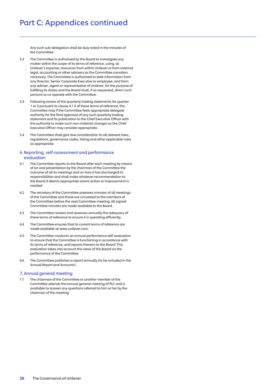# Part C: Appendices continued

Any such sub-delegation shall be duly noted in the minutes of the Committee.

- The Committee is authorised by the Board to investigate any matter within the scope of its terms of reference, using, at Unilever's expense, resources from within Unilever or from external legal, accounting or other advisers as the Committee considers necessary. The Committee is authorised to seek information from any Director, Senior Corporate Executive or employee, and from any adviser, agent or representative of Unilever, for the purpose of fulfilling its duties and the Board shall, if so requested, direct such persons to co-operate with the Committee. 5.2
- 5.3 Following review of the quarterly trading statements for quarter 1 or 3 pursuant to clause 4.1.5 of these terms of reference, the Committee may if the Committee feels appropriate delegate authority for the final approval of any such quarterly trading statement and its publication to the Chief Executive Officer with the authority to make such non-material changes as the Chief Executive Officer may consider appropriate.  $53$
- The Committee shall give due consideration to all relevant laws, regulations, governance codes, listing and other applicable rules as appropriate.  $5.4$

#### 6. Reporting, self-assessment and performance evaluation

- 6.1 The Committee reports to the Board after each meeting by means of an oral presentation by the chairman of the Committee the outcome of all its meetings and on how it has discharged its responsibilities and shall make whatever recommendation to the Board it deems appropriate where action or improvement is needed.
- The secretary of the Committee prepares minutes of all meetings of the Committee and these are circulated to the members of the Committee before the next Committee meeting. All signed Committee minutes are made available to the Board.  $62$
- The Committee reviews and assesses annually the adequacy of these terms of reference to ensure it is operating efficiently. 6.3
- The Committee ensures that its current terms of reference are made available at www.unilever.com.  $64$
- The Committee conducts an annual performance self-evaluation to ensure that the Committee is functioning in accordance with its terms of reference, and reports thereon to the Board. This evaluation takes into account the views of the Board on the performance of the Committee. 65
- The Committee publishes a report annually (to be included in the Annual Report and Accounts). 66

#### 7. Annual general meeting

The chairman of the Committee or another member of the Committee attends the annual general meeting of PLC and is available to answer any questions referred to him or her by the chairman of the meeting.  $71$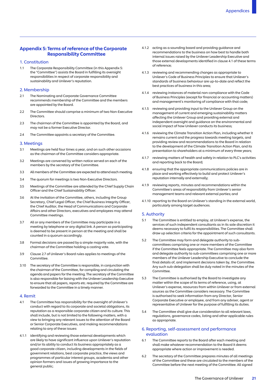# Appendix 5: Terms of reference of the Corporate Responsibility Committee

#### 1. Constitution

 $1.1$ The Corporate Responsibility Committee (in this Appendix 5: the "Committee") assists the Board in fulfilling its oversight responsibilities in respect of corporate responsibility and sustainability and Unilever's reputation.

#### 2. Membership

- 2.1 The Nominating and Corporate Governance Committee recommends membership of the Committee and the members are appointed by the Board.
- $22$ The Committee should comprise a minimum of two Non-Executive **Directors**
- $23$ The chairman of the Committee is appointed by the Board, and may not be a former Executive Director.
- 2.4 The Committee appoints a secretary of the Committee.

#### 3. Meetings

- 3.1 Meetings are held four times a year, and on such other occasions as the chairman of the Committee considers appropriate.
- 32 Meetings are convened by written notice served on each of the members by the secretary of the Committee.
- $\overline{\mathbf{3}}$ All members of the Committee are expected to attend each meeting.
- 3.4 The quorum for meetings is two Non-Executive Directors.
- $35$ Meetings of the Committee are attended by the Chief Supply Chain Officer and the Chief Sustainability Officer.
- $3.6$ At the invitation of the Committee, others, including the Group Secretary, Chief Legal Officer, the Chief Business Integrity Officer, the Chief Auditor, the Head of Communications and Corporate Affairs and other Directors, executives and employees may attend Committee meetings.
- $3.7$ All or any members of the Committee may participate in a meeting by telephone or any digital link. A person so participating is deemed to be present in person at the meeting and shall be counted in a quorum accordingly.
- 38 Formal decisions are passed by a simple majority vote, with the chairman of the Committee holding a casting vote.
- 39 Clause 2.7 of Unilever's Board rules applies to meetings of the Committee.
- $3.10$ The secretary of the Committee is responsible, in conjunction with the chairman of the Committee, for compiling and circulating the agenda and papers for the meeting. The secretary of the Committee is also responsible for liaising with the Unilever Leadership Executive to ensure that all papers, reports etc. required by the Committee are forwarded to the Committee in a timely manner.

#### 4. Remit

- 41 The Committee has responsibility for the oversight of Unilever's conduct with regard to its corporate and societal obligations, its reputation as a responsible corporate citizen and its culture. This shall include, but is not limited to the following matters, with a view to bringing any relevant issues to the attention of the Board or Senior Corporate Executives, and making recommendations relating to any of these issues:
- $4.1.1$ identifying and reviewing those external developments which are likely to have significant influence upon Unilever's reputation and/or its ability to conduct its business appropriately as a good corporate citizen, including developments in the fields of government relations, best corporate practice, the views and programmes of particular interest groups, academia and other opinion formers and issues of growing importance to the general public;
- 4.1.2 acting as a sounding board and providing guidance and recommendations to the business on how best to handle both internal issues raised by the Unilever Leadership Executive and those external developments identified in clause 4.1 of these terms of reference;
- 4.1.3 reviewing and recommending changes as appropriate to Unilever's Code of Business Principles to ensure that Unilever's standards of business behaviour are up-to-date and reflect the best practices of business in this area;
- 4.1.4 reviewing instances of material non-compliance with the Code of Business Principles (except for financial or accounting matters) and management's monitoring of compliance with that code;
- 4.1.5 reviewing and providing input to the Unilever Group on the management of current and emerging sustainability matters affecting the Unilever Group and providing external and independent oversight and guidance on the environmental and social impact of how Unilever conducts its business;
- 4.1.6 reviewing the Climate Transition Action Plan, including whether it remains current and the progress towards meeting targets, and providing review and recommendations to the Board in relation to the development of the Climate Transition Action Plan, and its presentation to shareholders at a minimum of every three years;
- 4.1.7 reviewing matters of health and safety in relation to PLC's activities and reporting back to the Board;
- 4.1.8 ensuring that the appropriate communications policies are in place and working effectively to build and protect Unilever's reputation internally and externally;
- 419 reviewing reports, minutes and recommendations within the Committee's areas of responsibility from Unilever's senior management teams and relevant external parties; and
- 4.1.10 reporting to the Board on Unilever's standing in the external world, particularly among target audiences.

#### 5. Authority

- $5.1$ The Committee is entitled to employ, at Unilever's expense, the services of such independent consultants as in its sole discretion it deems necessary to fulfil its responsibilities. The Committee shall draw up selection criteria for the appointment of such consultants.
- 52 The Committee may form and delegate authority to subcommittees comprising one or more members of the Committee if the Committee feels appropriate. The Committee may also form and delegate authority to sub-committees comprising one or more members of the Unilever Leadership Executive to conclude the final details of, and implement decisions taken by, the Committee. Any such sub-delegation shall be duly noted in the minutes of the Committee.
- $5.3$ The Committee is authorised by the Board to investigate any matter within the scope of its terms of reference, using, at Unilever's expense, resources from within Unilever or from external sources as the Committee considers necessary. The Committee is authorised to seek information from any Director, Senior Corporate Executive or employee, and from any adviser, agent or representative of Unilever for the purpose of fulfilling its duties.
- $5.4$ The Committee shall give due consideration to all relevant laws, regulations, governance codes, listing and other applicable rules as appropriate.

#### 6. Reporting, self-assessment and performance evaluation

- 6.1 The Committee reports to the Board after each meeting and shall make whatever recommendation to the Board it deems appropriate where action or improvement is needed.
- $6.2$ The secretary of the Committee prepares minutes of all meetings of the Committee and these are circulated to the members of the Committee before the next meeting of the Committee. All signed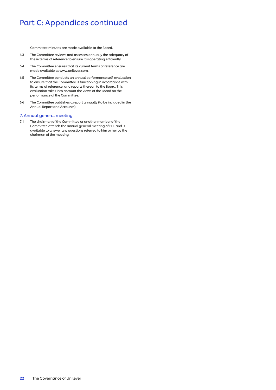# Part C: Appendices continued

Committee minutes are made available to the Board.

- The Committee reviews and assesses annually the adequacy of these terms of reference to ensure it is operating efficiently. 6.3
- The Committee ensures that its current terms of reference are made available at www.unilever.com.  $6.4$
- The Committee conducts an annual performance self-evaluation to ensure that the Committee is functioning in accordance with its terms of reference, and reports thereon to the Board. This evaluation takes into account the views of the Board on the performance of the Committee. 6.5
- The Committee publishes a report annually (to be included in the Annual Report and Accounts). 6.6

#### 7. Annual general meeting

The chairman of the Committee or another member of the Committee attends the annual general meeting of PLC and is available to answer any questions referred to him or her by the chairman of the meeting.  $7.1$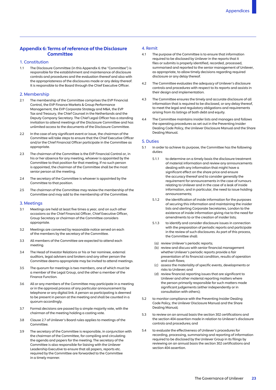# Appendix 6: Terms of reference of the Disclosure **Committee**

#### 1. Constitution

 $1.1$ The Disclosure Committee (in this Appendix 6: the "Committee") is responsible for the establishment and maintenance of disclosure controls and procedures and the evaluation thereof and also with the appropriateness of the disclosures made or any delay thereof. It is responsible to the Board through the Chief Executive Officer.

#### 2. Membership

- $21$ 2.1 The membership of the Committee comprises the EVP Financial Control, the EVP Finance Markets & Group Performance Management, the EVP Corporate Strategy and M&A, the EVP Tax and Treasury, the Chief Counsel in the Netherlands and the Deputy Company Secretary. The Chief Legal Officer has a standing invitation to attend meetings of the Disclosure Committee and has unlimited access to the documents of the Disclosure Committee.
- $2.2$ In the case of any significant event or issue, the chairman of the Committee will take steps to ensure that the Chief Executive Officer and/or the Chief Financial Officer participate in the Committee as appropriate.
- $23$ The chairman of the Committee is the EVP Financial Control or, in his or her absence for any meeting, whoever is appointed by the Committee to that position for that meeting. If no such person is appointed, the chairman of the Committee shall be the most senior person at the meeting.
- $24$ The secretary of the Committee is whoever is appointed by the Committee to that position.
- $2.5$ The chairman of the Committee may review the membership of the Committee and may add to the membership of the Committee.

#### 3. Meetings

- 3.1 Meetings are held at least five times a year, and on such other occasions as the Chief Financial Officer, Chief Executive Officer, Group Secretary or chairman of the Committee considers appropriate.
- $32$ Meetings are convened by reasonable notice served on each of the members by the secretary of the Committee.
- $3.3$ All members of the Committee are expected to attend each meeting.
- $34$ The Head of Investor Relations or his or her nominee, external auditors, legal advisers and brokers and any other person the Committee deems appropriate may be invited to attend meetings.
- $35$ The quorum for meetings is two members, one of which must be a member of the Legal Group, and the other a member of the Finance Function.
- 36 All or any members of the Committee may participate in a meeting or in the approval process of any particular announcement by telephone or any digital link. A person so participating is deemed to be present in person at the meeting and shall be counted in a quorum accordingly.
- $37$ Formal decisions are passed by a simple majority vote, with the chairman of the meeting holding a casting vote.
- $38$ Clause 2.7 of Unilever's Board rules applies to meetings of the **Committee**
- 3.9 The secretary of the Committee is responsible, in conjunction with the chairman of the Committee, for compiling and circulating the agenda and papers for the meeting. The secretary of the Committee is also responsible for liaising with the Unilever Leadership Executive to ensure that all papers, reports etc. required by the Committee are forwarded to the Committee in a timely manner.

# 4. Remit

- $4.1$ The purpose of the Committee is to ensure that information required to be disclosed by Unilever in the reports that it files or submits is properly identified, recorded, processed, summarised and reported to the senior management of Unilever, as appropriate, to allow timely decisions regarding required disclosure or any delay thereof.
- $4.2$ 4.2 The Committee evaluates the adequacy of Unilever's disclosure controls and procedures with respect to its reports and assists in their design and implementation.
- $4.3$ The Committee ensures the timely and accurate disclosure of all information that is required to be disclosed, or any delay thereof, to meet the legal and regulatory obligations and requirements arising from its listings of both debt and equity.
- 44 4.4 The Committee maintains insider lists and manages and follows the operating procedures as set out in the Preventing Insider Dealing Code Policy, the Unilever Disclosure Manual and the Share Dealing Manual.

#### 5. Duties

- $51$ In order to achieve its purpose, the Committee has the following duties:
	- $5.1.1$ to determine on a timely basis the disclosure treatment of material information and review any announcements dealing with any information that might have a significant effect on the share price and ensure the accuracy thereof and to consider generally the requirement for announcements in the case of rumours relating to Unilever and in the case of a leak of inside information, and in particular, the need to issue holding announcements;
	- $5.1.2$ the identification of inside information for the purposes of securing this information and maintaining the insider lists and alerting Corporate Secretaries, London to the existence of inside information giving rise to the need for amendments to or the creation of insider lists;
	- $5.1.3$ to identify and consider disclosure issues in connection with the preparation of periodic reports and participate in the review of such disclosures. As part of this process, the Committee shall:
	- (a) review Unilever's periodic reports;
	- (b) review and discuss with senior financial management whether Unilever's periodic reports provide a fair presentation of its financial condition, results of operation and cash flows;
	- (c) assess the materiality of specific events, developments or risks to Unilever; and
	- (d) review financial reporting issues that are significant to Unilever and other material reporting matters where the person primarily responsible for such matters made significant judgements (either independently or in consultation with others);
- $5.2$ to monitor compliance with the Preventing Insider Dealing Code Policy, the Unilever Disclosure Manual and the Share Dealing Manual;
- 5.3 5.3 to review on an annual basis the section 302 certifications and the section 404 assertion made in relation to Unilever's disclosure controls and procedures; and
- 54 to evaluate the effectiveness of Unilever's procedures for recording, processing, summarising and reporting of information required to be disclosed by the Unilever Group in its filings by reviewing on an annual basis the section 302 certifications and section 404 assertion.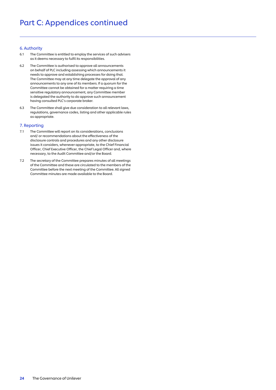# Part C: Appendices continued

#### 6. Authority

- The Committee is entitled to employ the services of such advisers as it deems necessary to fulfil its responsibilities.  $6.1$
- The Committee is authorised to approve all announcements on behalf of PLC including assessing which announcements it needs to approve and establishing processes for doing that. The Committee may at any time delegate the approval of any announcements to any one of its members. If a quorum for the Committee cannot be obtained for a matter requiring a time sensitive regulatory announcement, any Committee member is delegated the authority to do approve such announcement having consulted PLC's corporate broker. 6.2
- The Committee shall give due consideration to all relevant laws, regulations, governance codes, listing and other applicable rules as appropriate. 6.3

#### 7. Reporting

- The Committee will report on its considerations, conclusions and/ or recommendations about the effectiveness of the disclosure controls and procedures and any other disclosure issues it considers, whenever appropriate, to the Chief Financial Officer, Chief Executive Officer, the Chief Legal Officer and, where necessary, to the Audit Committee and/or the Board.  $7.1$
- The secretary of the Committee prepares minutes of all meetings of the Committee and these are circulated to the members of the Committee before the next meeting of the Committee. All signed Committee minutes are made available to the Board.  $7.2$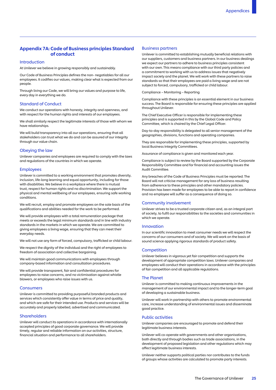# Appendix 7A: Code of Business principles Standard of conduct

#### **Introduction**

At Unilever we believe in growing responsibly and sustainably.

Our Code of Business Principles defines the non- negotiables for all our employees. It codifies our values, making clear what is expected from our people.

Through living our Code, we will bring our values and purpose to life, every day in everything we do.

#### Standard of Conduct

We conduct our operations with honesty, integrity and openness, and with respect for the human rights and interests of our employees.

We shall similarly respect the legitimate interests of those with whom we have relationships.

We will build transparency into all our operations, ensuring that all stakeholders can trust what we do and can be assured of our integrity through our value chain.

#### Obeying the law

Unilever companies and employees are required to comply with the laws and regulations of the countries in which we operate.

#### Employees

Unilever is committed to a working environment that promotes diversity, inclusion, life-long learning and equal opportunity, including for those with disabilities. We believe in a workplace where there is mutual trust, respect for human rights and no discrimination. We support the physical and mental wellbeing of our employees, ensuring safe working conditions.

We will recruit, employ and promote employees on the sole basis of the qualifications and abilities needed for the work to be performed.

We will provide employees with a total remuneration package that meets or exceeds the legal minimum standards and in line with industry standards in the markets in which we operate. We are committed to giving employees a living wage, ensuring that they can meet their everyday needs.

We will not use any form of forced, compulsory, trafficked or child labour.

We respect the dignity of the individual and the right of employees to freedom of association and collective bargaining.

We will maintain good communications with employees through company-based information and consultation procedures.

We will provide transparent, fair and confidential procedures for employees to raise concerns, and no victimisation against whistle blowers, or employees who raise issues with us.

#### **Consumers**

Unilever is committed to providing purposeful branded products and services which consistently offer value in terms of price and quality, and which are safe for their intended use. Products and services will be accurately and properly labelled, advertised and communicated.

#### Shareholders

Unilever will conduct its operations in accordance with internationally accepted principles of good corporate governance. We will provide timely, regular and reliable information on our activities, structure, financial situation and performance to all shareholders.

#### Business partners

Unilever is committed to establishing mutually beneficial relations with our suppliers, customers and business partners. In our business dealings we expect our partners to adhere to business principles consistent with our own. This means compliance with our third party policies and a commitment to working with us to address issues that negatively impact society and the planet. We will work with these partners to raise standards so that their employees are paid a living wage and are not subject to forced, compulsory, trafficked or child labour.

Compliance – Monitoring – Reporting

Compliance with these principles is an essential element in our business success. The Board is responsible for ensuring these principles are applied throughout Unilever.

The Chief Executive Officer is responsible for implementing these principles and is supported in this by the Global Code and Policy Committee, which is chaired by the Chief Legal Officer.

Day-to-day responsibility is delegated to all senior management of the geographies, divisions, functions and operating companies.

They are responsible for implementing these principles, supported by local Business Integrity Committees.

Assurance of compliance is given and monitored each year.

Compliance is subject to review by the Board supported by the Corporate Responsibility Committee and for financial and accounting issues the Audit Committee.

Any breaches of the Code of Business Principles must be reported. The Board will not criticise management for any loss of business resulting from adherence to these principles and other mandatory policies. Provision has been made for employees to be able to report in confidence and no employee will suffer as a consequence of doing so.

#### Community involvement

Unilever strives to be a trusted corporate citizen and, as an integral part of society, to fulfil our responsibilities to the societies and communities in which we operate.

#### Innovation

In our scientific innovation to meet consumer needs we will respect the concerns of our consumers and of society. We will work on the basis of sound science applying rigorous standards of product safety.

#### **Competition**

Unilever believes in vigorous yet fair competition and supports the development of appropriate competition laws. Unilever companies and employees will conduct their operations in accordance with the principles of fair competition and all applicable regulations.

#### The Planet

Unilever is committed to making continuous improvements in the management of our environmental impact and to the longer-term goal of developing a sustainable business.

Unilever will work in partnership with others to promote environmental care, increase understanding of environmental issues and disseminate good practice.

#### Public activities

Unilever companies are encouraged to promote and defend their legitimate business interests.

Unilever will co-operate with governments and other organisations, both directly and through bodies such as trade associations, in the development of proposed legislation and other regulations which may affect legitimate business interests.

Unilever neither supports political parties nor contributes to the funds of groups whose activities are calculated to promote party interests.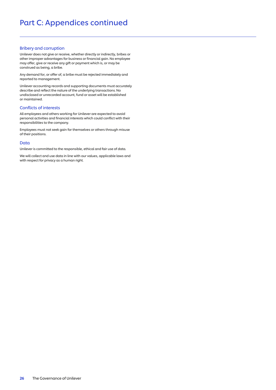# Bribery and corruption

Unilever does not give or receive, whether directly or indirectly, bribes or other improper advantages for business or financial gain. No employee may offer, give or receive any gift or payment which is, or may be construed as being, a bribe.

Any demand for, or offer of, a bribe must be rejected immediately and reported to management.

Unilever accounting records and supporting documents must accurately describe and reflect the nature of the underlying transactions. No undisclosed or unrecorded account, fund or asset will be established or maintained.

#### Conflicts of interests

All employees and others working for Unilever are expected to avoid personal activities and financial interests which could conflict with their responsibilities to the company.

Employees must not seek gain for themselves or others through misuse of their positions.

#### Data

Unilever is committed to the responsible, ethical and fair use of data.

We will collect and use data in line with our values, applicable laws and with respect for privacy as a human right.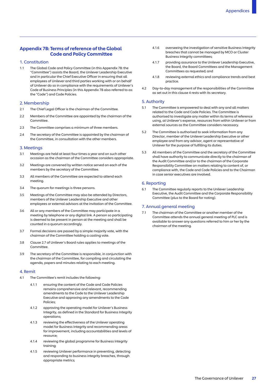# Appendix 7B: Terms of reference of the Global Code and Policy Committee

#### 1. Constitution

1.1 The Global Code and Policy Committee (in this Appendix 7B: the "Committee") assists the Board, the Unilever Leadership Executive and in particular the Chief Executive Officer in ensuring that all employees of Unilever and third parties working with or on behalf of Unilever do so in compliance with the requirements of Unilever's Code of Business Principles (in this Appendix 7B also referred to as: the "Code") and Code Policies.

#### 2. Membership

- $2.1$ The Chief Legal Officer is the chairman of the Committee.
- $22$ Members of the Committee are appointed by the chairman of the Committee.
- $23$ The Committee comprises a minimum of three members.
- $24$ The secretary of the Committee is appointed by the chairman of the Committee, in consultation with the other members.

#### 3. Meetings

- 3.1 Meetings are held at least four times a year and on such other occasion as the chairman of the Committee considers appropriate.
- $3.2$ Meetings are convened by written notice served on each of the members by the secretary of the Committee.
- $3.3$ All members of the Committee are expected to attend each meeting.
- 3.4 The quorum for meetings is three persons.
- $3.5$ Meetings of the Committee may also be attended by Directors, members of the Unilever Leadership Executive and other employees or external advisors at the invitation of the Committee.
- 3.6 All or any members of the Committee may participate in a meeting by telephone or any digital link. A person so participating is deemed to be present in person at the meeting and shall be counted in a quorum accordingly.
- $\overline{37}$ Formal decisions are passed by a simple majority vote, with the chairman of the Committee holding a casting vote.
- $38$ Clause 2.7 of Unilever's Board rules applies to meetings of the **Committee**
- 39 The secretary of the Committee is responsible, in conjunction with the chairman of the Committee, for compiling and circulating the agenda, papers and minutes relating to each meeting.

#### 4. Remit

- 41 The Committee's remit includes the following:
	- $4.1.1$ ensuring the content of the Code and Code Policies remains comprehensive and relevant, recommending amendments to the Code to the Unilever Leadership Executive and approving any amendments to the Code Policies;
	- 412 4.1.2 approving the operating model for Unilever's Business Integrity, as defined in the Standard for Business Integrity operations;
	- $4.1.3$ reviewing the effectiveness of the Unilever operating model for Business Integrity and recommending areas for improvement, including accountabilities and levels of resource;
	- $A1A$ reviewing the global programme for Business Integrity training;
	- 415 reviewing Unilever performance in preventing, detecting and responding to business integrity breaches, through appropriate metrics;
- 416 overseeing the investigation of sensitive Business Integrity breaches that cannot be managed by MCO or Cluster Business Integrity committees;
- 4.1.7 providing assurance to the Unilever Leadership Executive, the Board, the Board Committees and the Management Committees as requested; and
- $4.1.8$ reviewing external ethics and compliance trends and best practice.
- $4.2$ 4.2 Day-to-day management of the responsibilities of the Committee as set out in this clause 4 rests with its secretary.

#### 5. Authority

- $5.1$ The Committee is empowered to deal with any and all matters related to the Code and Code Policies. The Committee is authorised to investigate any matter within its terms of reference using, at Unilever's expense, resources from within Unilever or from external sources as the Committee considers necessary.
- $5.2$ The Committee is authorised to seek information from any Director, member of the Unilever Leadership Executive or other employee and from any advisor, agent or representative of Unilever for the purpose of fulfilling its duties.
- $5.3$ All members of the Committee and the secretary of the Committee shall have authority to communicate directly to the chairman of the Audit Committee and/or to the chairman of the Corporate Responsibility Committee on matters relating to content of, or compliance with, the Code and Code Policies and to the Chairman in case senior executives are involved.

### 6. Reporting

61 The Committee regularly reports to the Unilever Leadership Executive, the Audit Committee and the Corporate Responsibility Committee (plus to the Board for noting).

# 7. Annual general meeting

The chairman of the Committee or another member of the Committee attends the annual general meeting of PLC and is available to answer any questions referred to him or her by the chairman of the meeting.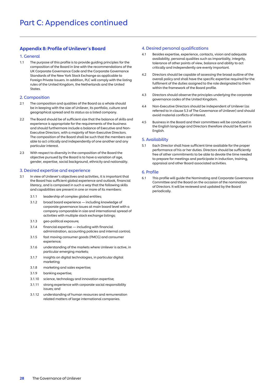# Appendix 8: Profile of Unilever's Board

#### 1. General

1.1 The purpose of this profile is to provide guiding principles for the composition of the Board in line with the recommendations of the UK Corporate Governance Code and the Corporate Governance Standards of the New York Stock Exchange as applicable to Foreign Private Issuers. In addition, PLC will comply with the listing rules of the United Kingdom, the Netherlands and the United States.

#### 2. Composition

- The composition and qualities of the Board as a whole should be in keeping with the size of Unilever, its portfolio, culture and geographical spread and its status as a listed company.  $2.1$
- The Board should be of sufficient size that the balance of skills and experience is appropriate for the requirements of the business and should furthermore include a balance of Executive and Non-Executive Directors, with a majority of Non-Executive Directors. The composition of the Board shall be such that the members are able to act critically and independently of one another and any particular interest.  $22$
- With respect to diversity in the composition of the Board the objective pursued by the Board is to have a variation of age, gender, expertise, social background, ethnicity and nationality.  $23$

#### 3. Desired expertise and experience

- In view of Unilever's objectives and activities, it is important that the Board has sufficient global experience and outlook, financial literacy, and is composed in such a way that the following skills and capabilities are present in one or more of its members:  $\overline{3}$  1
	- leadership of complex global entities; 311
	- 3.1.2 broad board experience including knowledge of corporate governance issues at main board level with a company comparable in size and international spread of activities with multiple stock exchange listings;  $312$
	- geo-political exposure;  $3.1.3$
	- financial expertise including with financial administration, accounting policies and internal control;  $314$
	- fast moving consumer goods (FMCG) and consumer experience;  $315$
	- understanding of the markets where Unilever is active, in particular emerging markets; 316
	- insights on digital technologies, in particular digital marketing;  $317$
	- marketing and sales expertise; 318
	- banking expertise;  $319$
	- science, technology and innovation expertise;  $3110$
	- strong experience with corporate social responsibility issues; and  $3.1.11$
	- 3.1.12 understanding of human resources and remuneration related matters of large international companies.

# 4. Desired personal qualifications

- Besides expertise, experience, contacts, vision and adequate availability, personal qualities such as impartiality, integrity, tolerance of other points of view, balance and ability to act critically and independently are evenly important.  $4.1$
- Directors should be capable of assessing the broad outline of the overall policy and shall have the specific expertise required for the fulfilment of the duties assigned to the role designated to them within the framework of the Board profile.  $42$
- 4.3 Directors should observe the principles underlying the corporate governance codes of the United Kingdom. 43
- Non-Executive Directors should be independent of Unilever (as referred to in clause 5.3 of The Governance of Unilever) and should avoid material conflicts of interest.  $4.4$
- 4.5 Business in the Board and their committees will be conducted in the English language and Directors therefore should be fluent in English.  $45$

#### 5. Availability

5.1 Each Director shall have sufficient time available for the proper performance of his or her duties. Directors should be sufficiently free of other commitments to be able to devote the time needed to prepare for meetings and participate in induction, training, appraisal and other Board associated activities.  $51$ 

#### 6. Profile

This profile will guide the Nominating and Corporate Governance Committee and the Board on the occasion of the nomination of Directors. It will be reviewed and updated by the Board periodically. 6.1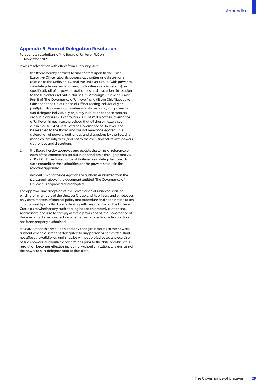# Appendix 9: Form of Delegation Resolution

Pursuant to resolutions of the Board of Unilever PLC on 18 November 2021.

It was resolved that with effect from 1 January 2021:

- $\mathbf{1}$ the Board hereby entrusts to and confers upon (i) the Chief Executive Officer all of its powers, authorities and discretions in relation to the Unilever PLC and the Unilever Group (with power to sub-delegate any such powers, authorities and discretions) and specifically all of its powers, authorities and discretions in relation to those matters set out in clauses 7.2.2 through 7.2.28 and 7.4 of Part B of 'The Governance of Unilever'; and (ii) the Chief Executive Officer and the Chief Financial Officer (acting individually or jointly) all its powers, authorities and discretions (with power to sub-delegate individually or jointly in relation to those matters set out in clauses 7.3.2 through 7.3.15 of Part B of the Governance of Unilever, in each case provided that all those matters set out in clause 1.4 of Part B of 'The Governance of Unilever' shall be reserved to the Board and are not hereby delegated. This delegation of powers, authorities and discretions by the Board is made collaterally with (and not to the exclusion of) its own powers, authorities and discretions;
- $\overline{2}$ the Board hereby approves and adopts the terms of reference of each of the committees set out in appendices 2 through 6 and 7B of Part C of 'the Governance of Unilever' and delegates to each such committee the authorities and/or powers set out in the relevant appendix.
- $\overline{3}$ . without limiting the delegations or authorities referred to in the paragraph above, the document entitled 'The Governance of Unilever' is approved and adopted.

The approval and adoption of 'the Governance of Unilever' shall be binding on members of the Unilever Group and its officers and employees only as to matters of internal policy and procedure and need not be taken into account by any third party dealing with any member of the Unilever Group as to whether any such dealing has been properly authorised. Accordingly, a failure to comply with the provisions of 'the Governance of Unilever' shall have no effect on whether such a dealing or transaction has been properly authorised;

PROVIDED that this resolution and any changes it makes to the powers, authorities and discretions delegated to any person or committee shall not affect the validity of, and shall be without prejudice to, any exercise of such powers, authorities or discretions prior to the date on which this resolution becomes effective including, without limitation, any exercise of the power to sub-delegate prior to that date.